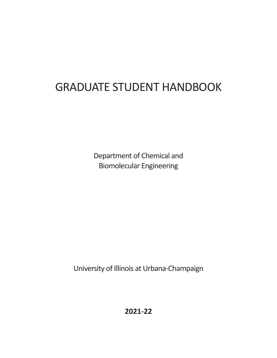# GRADUATE STUDENT HANDBOOK

Department of Chemical and Biomolecular Engineering

University of Illinois at Urbana-Champaign

**2021Ͳ22**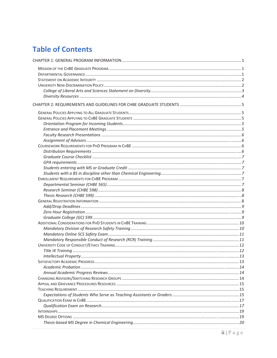# **Table of Contents**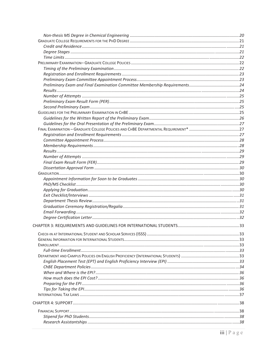| CHECK-IN AT INTERNATIONAL STUDENT AND SCHOLAR SERVICES (ISSS) | 33 |
|---------------------------------------------------------------|----|
|                                                               |    |
|                                                               |    |
|                                                               |    |
|                                                               |    |
|                                                               |    |
|                                                               |    |
|                                                               |    |
|                                                               |    |
|                                                               |    |
|                                                               |    |
|                                                               |    |
|                                                               |    |
|                                                               |    |
|                                                               |    |
|                                                               |    |
|                                                               |    |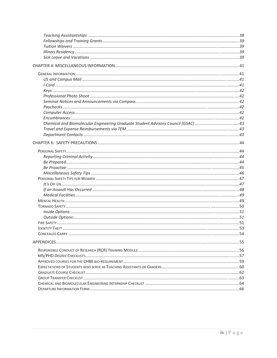| CONCEALED CARRY | 54 |
|-----------------|----|
|                 |    |
|                 |    |
|                 |    |
|                 |    |
|                 |    |
|                 |    |
|                 |    |
|                 |    |
|                 |    |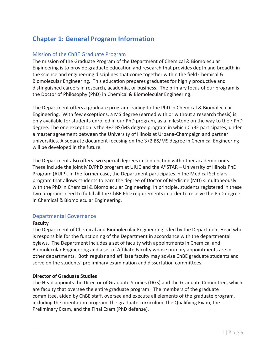# **Chapter 1: General Program Information**

### Mission of the ChBE Graduate Program

The mission of the Graduate Program of the Department of Chemical & Biomolecular Engineering is to provide graduate education and research that provides depth and breadth in the science and engineering disciplines that come together within the field Chemical & Biomolecular Engineering. This education prepares graduates for highly productive and distinguished careers in research, academia, or business.The primary focus of our program is the Doctor of Philosophy (PhD) in Chemical & Biomolecular Engineering.

The Department offers a graduate program leading to the PhD in Chemical & Biomolecular Engineering. With few exceptions, a MS degree (earned with or without a research thesis) is only available for students enrolled in our PhD program, as a milestone on the way to their PhD degree. The one exception is the 3+2 BS/MS degree program in which ChBE participates, under a master agreement between the University of Illinois at Urbana-Champaign and partner universities. A separate document focusing on the 3+2 BS/MS degree in Chemical Engineering will be developed in the future.

The Department also offers two special degrees in conjunction with other academic units. These include the joint MD/PhD program at UIUC and the A\*STAR – University of Illinois PhD Program (AUIP). In the former case, the Department participates in the Medical Scholars program that allows students to earn the degree of Doctor of Medicine (MD) simultaneously with the PhD in Chemical & Biomolecular Engineering. In principle, students registered in these two programs need to fulfill all the ChBE PhD requirements in order to receive the PhD degree in Chemical & Biomolecular Engineering.

### Departmental Governance

### **Faculty**

The Department of Chemical and Biomolecular Engineering is led by the Department Head who is responsible for the functioning of the Department in accordance with the departmental bylaws.The Department includes a set of faculty with appointments in Chemical and Biomolecular Engineering and a set of Affiliate Faculty whose primary appointments are in other departments. Both regular and affiliate faculty may advise ChBE graduate students and serve on the students' preliminary examination and dissertation committees.

### **Director of Graduate Studies**

The Head appoints the Director of Graduate Studies (DGS) and the Graduate Committee, which are faculty that oversee the entire graduate program.The members of the graduate committee, aided by ChBE staff, oversee and execute all elements of the graduate program, including the orientation program, the graduate curriculum, the Qualifying Exam, the Preliminary Exam, and the Final Exam (PhD defense).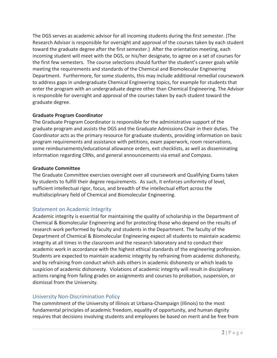The DGS serves as academic advisor for all incoming students during the first semester. (The Research Advisor is responsible for oversight and approval of the courses taken by each student toward the graduate degree after the first semester.) After the orientation meeting, each incoming student will meet with the DGS, or his/her designate, to agree on a set of courses for the first few semesters. The course selections should further the student's career goals while meeting the requirements and standards of the Chemical and Biomolecular Engineering Department. Furthermore, for some students, this may include additional remedial coursework to address gaps in undergraduate Chemical Engineering topics, for example for students that enter the program with an undergraduate degree other than Chemical Engineering. The Advisor is responsible for oversight and approval of the courses taken by each student toward the graduate degree.

### **Graduate Program Coordinator**

The Graduate Program Coordinator is responsible for the administrative support of the graduate program and assists the DGS and the Graduate Admissions Chair in their duties. The Coordinator acts as the primary resource for graduate students, providing information on basic program requirements and assistance with petitions, exam paperwork, room reservations, some reimbursements/educational allowance orders, exit checklists, as well as disseminating information regarding CRNs, and general announcements via email and Compass.

### **Graduate Committee**

The Graduate Committee exercises oversight over all coursework and Qualifying Exams taken by students to fulfill their degree requirements. As such, it enforces uniformity of level, sufficient intellectual rigor, focus, and breadth of the intellectual effort across the multidisciplinary field of Chemical and Biomolecular Engineering.

### Statement on Academic Integrity

Academic integrity is essential for maintaining the quality of scholarship in the Department of Chemical & Biomolecular Engineering and for protecting those who depend on the results of research work performed by faculty and students in the Department. The faculty of the Department of Chemical & Biomolecular Engineering expect all students to maintain academic integrity at all times in the classroom and the research laboratory and to conduct their academic work in accordance with the highest ethical standards of the engineering profession. Students are expected to maintain academic integrity by refraining from academic dishonesty, and by refraining from conduct which aids others in academic dishonesty or which leads to suspicion of academic dishonesty. Violations of academic integrity will result in disciplinary actions ranging from failing grades on assignments and courses to probation, suspension, or dismissal from the University.

### University Non-Discrimination Policy

The commitment of the University of Illinois at Urbana-Champaign (Illinois) to the most fundamental principles of academic freedom, equality of opportunity, and human dignity requires that decisions involving students and employees be based on merit and be free from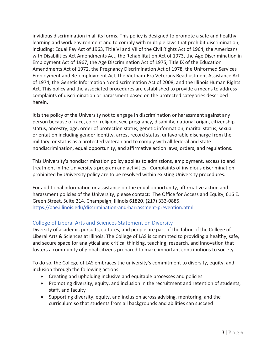invidious discrimination in all its forms. This policy is designed to promote a safe and healthy learning and work environment and to comply with multiple laws that prohibit discrimination, including: Equal Pay Act of 1963, Title VI and VII of the Civil Rights Act of 1964, the Americans with Disabilities Act Amendments Act, the Rehabilitation Act of 1973, the Age Discrimination in Employment Act of 1967, the Age Discrimination Act of 1975, Title IX of the Education Amendments Act of 1972, the Pregnancy Discrimination Act of 1978, the Uniformed Services Employment and Re-employment Act, the Vietnam-Era Veterans Readjustment Assistance Act of 1974, the Genetic Information Nondiscrimination Act of 2008, and the Illinois Human Rights Act. This policy and the associated procedures are established to provide a means to address complaints of discrimination or harassment based on the protected categories described herein.

It is the policy of the University not to engage in discrimination or harassment against any person because of race, color, religion, sex, pregnancy, disability, national origin, citizenship status, ancestry, age, order of protection status, genetic information, marital status, sexual orientation including gender identity, arrest record status, unfavorable discharge from the military, or status as a protected veteran and to comply with all federal and state nondiscrimination, equal opportunity, and affirmative action laws, orders, and regulations.

This University's nondiscrimination policy applies to admissions, employment, access to and treatment in the University's program and activities. Complaints of invidious discrimination prohibited by University policy are to be resolved within existing University procedures.

For additional information or assistance on the equal opportunity, affirmative action and harassment policies of the University, please contact: The Office for Access and Equity, 616 E. Green Street, Suite 214, Champaign, Illinois 61820, (217) 333-0885. https://oae.illinois.edu/discrimination-and-harrassment-prevention.html

# College of Liberal Arts and Sciences Statement on Diversity

Diversity of academic pursuits, cultures, and people are part of the fabric of the College of Liberal Arts & Sciences at Illinois. The College of LAS is committed to providing a healthy, safe, and secure space for analytical and critical thinking, teaching, research, and innovation that fosters a community of global citizens prepared to make important contributions to society.

To do so, the College of LAS embraces the university's commitment to diversity, equity, and inclusion through the following actions:

- Creating and upholding inclusive and equitable processes and policies
- Promoting diversity, equity, and inclusion in the recruitment and retention of students, staff, and faculty
- Supporting diversity, equity, and inclusion across advising, mentoring, and the curriculum so that students from all backgrounds and abilities can succeed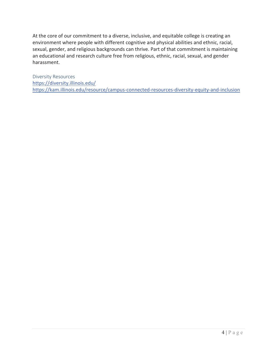At the core of our commitment to a diverse, inclusive, and equitable college is creating an environment where people with different cognitive and physical abilities and ethnic, racial, sexual, gender, and religious backgrounds can thrive. Part of that commitment is maintaining an educational and research culture free from religious, ethnic, racial, sexual, and gender harassment.

Diversity Resources https://diversity.illinois.edu/ https://kam.illinois.edu/resource/campus-connected-resources-diversity-equity-and-inclusion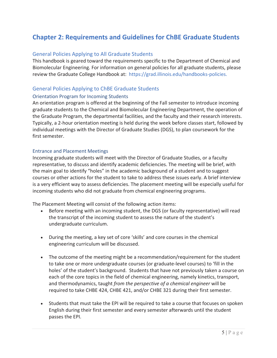# **Chapter 2: Requirements and Guidelines for ChBE Graduate Students**

### General Policies Applying to All Graduate Students

This handbook is geared toward the requirements specific to the Department of Chemical and Biomolecular Engineering. For information on general policies for all graduate students, please review the Graduate College Handbook at: https://grad.illinois.edu/handbooks-policies.

### General Policies Applying to ChBE Graduate Students

### Orientation Program for Incoming Students

An orientation program is offered at the beginning of the Fall semester to introduce incoming graduate students to the Chemical and Biomolecular Engineering Department, the operation of the Graduate Program, the departmental facilities, and the faculty and their research interests. Typically, a 2-hour orientation meeting is held during the week before classes start, followed by individual meetings with the Director of Graduate Studies (DGS), to plan coursework for the first semester.

### Entrance and Placement Meetings

Incoming graduate students will meet with the Director of Graduate Studies, or a faculty representative, to discuss and identify academic deficiencies. The meeting will be brief, with the main goal to identify "holes" in the academic background of a student and to suggest courses or other actions for the student to take to address these issues early. A brief interview is a very efficient way to assess deficiencies. The placement meeting will be especially useful for incoming students who did not graduate from chemical engineering programs.

The Placement Meeting will consist of the following action items:

- Before meeting with an incoming student, the DGS (or faculty representative) will read the transcript of the incoming student to assess the nature of the student's undergraduate curriculum.
- During the meeting, a key set of core 'skills' and core courses in the chemical engineering curriculum will be discussed.
- The outcome of the meeting might be a recommendation/requirement for the student to take one or more undergraduate courses (or graduate-level courses) to 'fill in the holes' of the student's background. Students that have not previously taken a course on each of the core topics in the field of chemical engineering, namely kinetics, transport, and thermodynamics, taught *from the perspective of a chemical engineer* will be required to take CHBE 424, CHBE 421, and/or CHBE 321 during their first semester.
- Students that must take the EPI will be required to take a course that focuses on spoken English during their first semester and every semester afterwards until the student passes the EPI.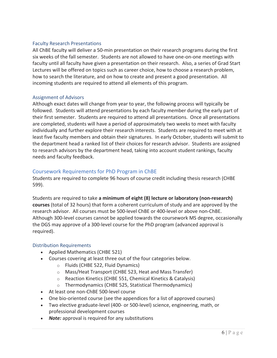### Faculty Research Presentations

All ChBE faculty will deliver a 50-min presentation on their research programs during the first six weeks of the fall semester. Students are not allowed to have one-on-one meetings with faculty until all faculty have given a presentation on their research. Also, a series of Grad Start Lectures will be offered on topics such as career choice, how to choose a research problem, how to search the literature, and on how to create and present a good presentation. All incoming students are required to attend all elements of this program.

### Assignment of Advisors

Although exact dates will change from year to year, the following process will typically be followed. Students will attend presentations by each faculty member during the early part of their first semester. Students are required to attend all presentations. Once all presentations are completed, students will have a period of approximately two weeks to meet with faculty individually and further explore their research interests. Students are required to meet with at least five faculty members and obtain their signatures. In early October, students will submit to the department head a ranked list of their choices for research advisor. Students are assigned to research advisors by the department head, taking into account student rankings, faculty needs and faculty feedback.

### Coursework Requirements for PhD Program in ChBE

Students are required to complete 96 hours of course credit including thesis research (CHBE 599).

*Students are required to take a minimum of eight (8) lecture or laboratory (non-research)* **courses** (total of 32 hours) that form a coherent curriculum of study and are approved by the research advisor. All courses must be 500-level ChBE or 400-level or above non-ChBE. Although 300-level courses cannot be applied towards the coursework MS degree, occasionally the DGS may approve of a 300-level course for the PhD program (advanced approval is required).

### Distribution Requirements

- Applied Mathematics (CHBE 521)
- Courses covering at least three out of the four categories below.
	- o Fluids (CHBE 522, Fluid Dynamics)
	- o Mass/Heat Transport (CHBE 523, Heat and Mass Transfer)
	- o Reaction Kinetics (CHBE 551, Chemical Kinetics & Catalysis)
	- o Thermodynamics (CHBE 525, Statistical Thermodynamics)
- At least one non-ChBE 500-level course
- One bio-oriented course (see the appendices for a list of approved courses)
- Two elective graduate-level (400- or 500-level) science, engineering, math, or professional development courses
- **Note:** approval is required for any substitutions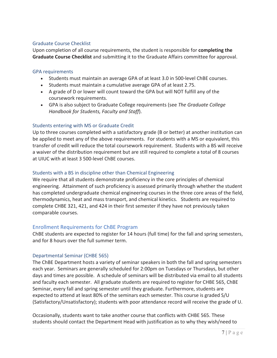### Graduate Course Checklist

Upon completion of all course requirements, the student is responsible for **completing the Graduate Course Checklist** and submitting it to the Graduate Affairs committee for approval.

### GPA requirements

- Students must maintain an average GPA of at least 3.0 in 500-level ChBE courses.
- Students must maintain a cumulative average GPA of at least 2.75.
- A grade of D or lower will count toward the GPA but will NOT fulfill any of the coursework requirements.
- x GPA is also subject to Graduate College requirements (see *The Graduate College Handbook for Students, Faculty and Staff*).

### Students entering with MS or Graduate Credit

Up to three courses completed with a satisfactory grade (B or better) at another institution can be applied to meet any of the above requirements. For students with a MS or equivalent, this transfer of credit will reduce the total coursework requirement. Students with a BS will receive a waiver of the distribution requirement but are still required to complete a total of 8 courses at UIUC with at least 3 500-level ChBE courses.

### Students with a BS in discipline other than Chemical Engineering

We require that all students demonstrate proficiency in the core principles of chemical engineering. Attainment of such proficiency is assessed primarily through whether the student has completed undergraduate chemical engineering courses in the three core areas of the field, thermodynamics, heat and mass transport, and chemical kinetics. Students are required to complete CHBE 321, 421, and 424 in their first semester if they have not previously taken comparable courses.

### Enrollment Requirements for ChBE Program

ChBE students are expected to register for 14 hours (full time) for the fall and spring semesters, and for 8 hours over the full summer term.

### Departmental Seminar (CHBE 565)

The ChBE Department hosts a variety of seminar speakers in both the fall and spring semesters each year. Seminars are generally scheduled for 2:00pm on Tuesdays or Thursdays, but other days and times are possible. A schedule of seminars will be distributed via email to all students and faculty each semester. All graduate students are required to register for CHBE 565, ChBE Seminar, every fall and spring semester until they graduate. Furthermore, students are expected to attend at least 80% of the seminars each semester. This course is graded S/U (Satisfactory/Unsatisfactory); students with poor attendance record will receive the grade of U.

Occasionally, students want to take another course that conflicts with CHBE 565. These students should contact the Department Head with justification as to why they wish/need to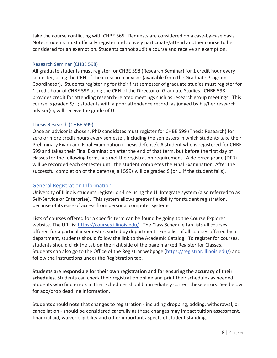take the course conflicting with CHBE 565. Requests are considered on a case-by-case basis. Note: students must officially register and actively participate/attend another course to be considered for an exemption. Students cannot audit a course and receive an exemption.

### Research Seminar (CHBE 598)

All graduate students must register for CHBE 598 (Research Seminar) for 1 credit hour every semester, using the CRN of their research advisor (available from the Graduate Program Coordinator). Students registering for their first semester of graduate studies must register for 1 credit hour of CHBE 598 using the CRN of the Director of Graduate Studies.CHBE 598 provides credit for attending research-related meetings such as research group meetings. This course is graded S/U; students with a poor attendance record, as judged by his/her research advisor(s), will receive the grade of U.

### Thesis Research (CHBE 599)

Once an advisor is chosen, PhD candidates must register for CHBE 599 (Thesis Research) for zero or more credit hours every semester, including the semesters in which students take their Preliminary Exam and Final Examination (Thesis defense). A student who is registered for CHBE 599 and takes their Final Examination after the end of that term, but before the first day of classes for the following term, has met the registration requirement. A deferred grade (DFR) will be recorded each semester until the student completes the Final Examination. After the successful completion of the defense, all 599s will be graded S (or U if the student fails).

### General Registration Information

University of Illinois students register on-line using the UI Integrate system (also referred to as Self-Service or Enterprise). This system allows greater flexibility for student registration, because of its ease of access from personal computer systems.

Lists of courses offered for a specific term can be found by going to the Course Explorer website. The URL is: https://courses.illinois.edu/. The Class Schedule tab lists all courses offered for a particular semester, sorted by department. For a list of all courses offered by a department, students should follow the link to the Academic Catalog. To register for courses, students should click the tab on the right side of the page marked Register for Classes. Students can also go to the Office of the Registrar webpage (https://registrar.illinois.edu/) and follow the instructions under the Registration tab.

**Students are responsible for their own registration and for ensuring the accuracy of their schedules.** Students can check their registration online and print their schedules as needed. Students who find errors in their schedules should immediately correct these errors. See below for add/drop deadline information.

Students should note that changes to registration - including dropping, adding, withdrawal, or cancellation - should be considered carefully as these changes may impact tuition assessment, financial aid, waiver eligibility and other important aspects of student standing.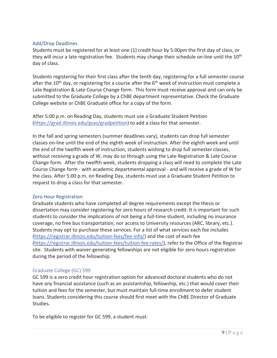### Add/Drop Deadlines

Students must be registered for at least one (1) credit hour by 5:00pm the first day of class, or they will incur a late registration fee. Students may change their schedule on-line until the 10<sup>th</sup> day of class.

Students registering for their first class after the tenth day, registering for a full semester course after the  $10<sup>th</sup>$  day, or registering for a course after the  $6<sup>th</sup>$  week of instruction must complete a Late Registration & Late Course Change form. This form must receive approval and can only be submitted to the Graduate College by a ChBE department representative. Check the Graduate College website or ChBE Graduate office for a copy of the form.

After 5:00 p.m. on Reading Day, students must use a Graduate Student Petition (https://grad.illinois.edu/gsas/gradpetition) to add a class for that semester.

In the fall and spring semesters (summer deadlines vary), students can drop full semester classes on-line until the end of the eighth week of instruction. After the eighth week and until the end of the twelfth week of instruction, students wishing to drop full semester classes, without receiving a grade of W, may do so through using the Late Registration & Late Course Change form. After the twelfth week, students dropping a class will need to complete the Late Course Change form - with academic departmental approval - and will receive a grade of W for the class. After 5:00 p.m. on Reading Day, students must use a Graduate Student Petition to request to drop a class for that semester.

### Zero Hour Registration

Graduate students who have completed all degree requirements except the thesis or dissertation may consider registering for zero hours of research credit. It is important for such students to consider the implications of not being a full-time student, including no insurance coverage, no free bus transportation, nor access to University resources (ARC, library, etc.). Students may opt to purchase these services. For a list of what services each fee includes (https://registrar.illinois.edu/tuition-fees/fee-info/) and the cost of each fee (https://registrar.illinois.edu/tuition-fees/tuition-fee-rates/), refer to the Office of the Registrar site. Students with waiver-generating fellowships are not eligible for zero hours registration during the period of the fellowship.

### Graduate College (GC) 599

GC 599 is a zero credit hour registration option for advanced doctoral students who do not have any financial assistance (such as an assistantship, fellowship, etc.) that would cover their tuition and fees for the semester, but must maintain full-time enrollment to defer student loans. Students considering this course should first meet with the ChBE Director of Graduate Studies.

To be eligible to register for GC 599, a student must: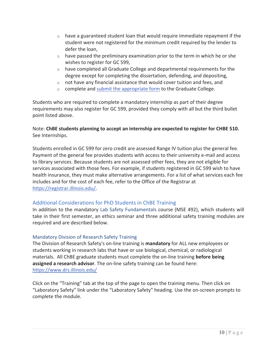- $\circ$  have a guaranteed student loan that would require immediate repayment if the student were not registered for the minimum credit required by the lender to defer the loan,
- $\circ$  have passed the preliminary examination prior to the term in which he or she wishes to register for GC 599,
- $\circ$  have completed all Graduate College and departmental requirements for the degree except for completing the dissertation, defending, and depositing,
- $\circ$  not have any financial assistance that would cover tuition and fees, and
- $\circ$  complete and submit the appropriate form to the Graduate College.

Students who are required to complete a mandatory internship as part of their degree requirements may also register for GC 599, provided they comply with all but the third bullet point listed above.

### Note: **ChBE students planning to accept an internship are expected to register for CHBE 510.** See Internships.

Students enrolled in GC 599 for zero credit are assessed Range IV tuition plus the general fee. Payment of the general fee provides students with access to their university e-mail and access to library services. Because students are not assessed other fees, they are not eligible for services associated with those fees. For example, if students registered in GC 599 wish to have health insurance, they must make alternative arrangements. For a list of what services each fee includes and for the cost of each fee, refer to the Office of the Registrar at https://registrar.illinois.edu/.

### Additional Considerations for PhD Students in ChBE Training

In addition to the mandatory Lab Safety Fundamentals course (MSE 492), which students will take in their first semester, an ethics seminar and three additional safety training modules are required and are described below.

### Mandatory Division of Research Safety Training

The Division of Research Safety's on-line training is **mandatory** for ALL new employees or students working in research labs that have or use biological, chemical, or radiological materials. All ChBE graduate students must complete the on-line training **before being assigned a research advisor**. The on-line safety training can be found here: https://www.drs.illinois.edu/

Click on the "Training" tab at the top of the page to open the training menu. Then click on "Laboratory Safety" link under the "Laboratory Safety" heading. Use the on-screen prompts to complete the module.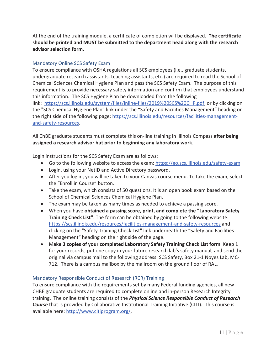At the end of the training module, a certificate of completion will be displayed.**The certificate should be printed and MUST be submitted to the department head along with the research advisor selection form.**

### Mandatory Online SCS Safety Exam

To ensure compliance with OSHA regulations all SCS employees (i.e., graduate students, undergraduate research assistants, teaching assistants, etc.) are required to read the School of Chemical Sciences Chemical Hygiene Plan and pass the SCS Safety Exam.The purpose of this requirement is to provide necessary safety information and confirm that employees understand this information. The SCS Hygiene Plan be downloaded from the following link: https://scs.illinois.edu/system/files/inline-files/2019%20SCS%20CHP.pdf, or by clicking on the "SCS Chemical Hygiene Plan" link under the "Safety and Facilities Management" heading on the right side of the following page: https://scs.illinois.edu/resources/facilities-managementand-safety-resources.

All ChBE graduate students must complete this onͲline training in Illinois Compass **after being assigned a research advisor but prior to beginning any laboratory work**.

Login instructions for the SCS Safety Exam are as follows:

- Go to the following website to access the exam: https://go.scs.illinois.edu/safety-exam
- Login, using your NetID and Active Directory password.
- After you log in, you will be taken to your Canvas course menu. To take the exam, select the "Enroll in Course" button.
- Take the exam, which consists of 50 questions. It is an open book exam based on the School of Chemical Sciences Chemical Hygiene Plan.
- The exam may be taken as many times as needed to achieve a passing score.
- x When you have **obtained a passing score, print, and complete the "Laboratory Safety Training Check List"**. The form can be obtained by going to the following website: https://scs.illinois.edu/resources/facilities-management-and-safety-resources and clicking on the "Safety Training Check List" link underneath the "Safety and Facilities Management" heading on the right side of the page.
- x M**ake 3 copies of your completed Laboratory Safety Training Check List form**. Keep 1 for your records, put one copy in your future research lab's safety manual, and send the original via campus mail to the following address: SCS Safety, Box 21-1 Noyes Lab, MC-712. There is a campus mailbox by the mailroom on the ground floor of RAL.

### Mandatory Responsible Conduct of Research (RCR) Training

To ensure compliance with the requirements set by many Federal funding agencies, all new CHBE graduate students are required to complete online and in-person Research Integrity training.The online training consists of the *Physical Science Responsible Conduct of Research* **Course** that is provided by Collaborative Institutional Training Initiative (CITI). This course is available here: http://www.citiprogram.org/.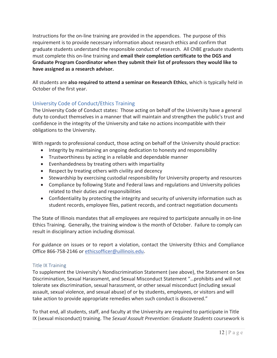Instructions for the on-line training are provided in the appendices. The purpose of this requirement is to provide necessary information about research ethics and confirm that graduate students understand the responsible conduct of research. All ChBE graduate students must complete this onͲline training and **email their completion certificate to the DGS and Graduate Program Coordinator when they submit their list of professors they would like to have assigned as a research advisor.**

All students are **also required to attend a seminar on Research Ethics**, which is typically held in October of the first year.

# University Code of Conduct/Ethics Training

The University Code of Conduct states: Those acting on behalf of the University have a general duty to conduct themselves in a manner that will maintain and strengthen the public's trust and confidence in the integrity of the University and take no actions incompatible with their obligations to the University.

With regards to professional conduct, those acting on behalf of the University should practice:

- Integrity by maintaining an ongoing dedication to honesty and responsibility
- Trustworthiness by acting in a reliable and dependable manner
- Evenhandedness by treating others with impartiality
- Respect by treating others with civility and decency
- Stewardship by exercising custodial responsibility for University property and resources
- Compliance by following State and Federal laws and regulations and University policies related to their duties and responsibilities
- Confidentiality by protecting the integrity and security of university information such as student records, employee files, patient records, and contract negotiation documents

The State of Illinois mandates that all employees are required to participate annually in on-line Ethics Training. Generally, the training window is the month of October. Failure to comply can result in disciplinary action including dismissal.

For guidance on issues or to report a violation, contact the University Ethics and Compliance Office 866-758-2146 or ethicsofficer@uillinois.edu.

### Title IX Training

To supplement the University's Nondiscrimination Statement (see above), the Statement on Sex Discrimination, Sexual Harassment, and Sexual Misconduct Statement "…prohibits and will not tolerate sex discrimination, sexual harassment, or other sexual misconduct (including sexual assault, sexual violence, and sexual abuse) of or by students, employees, or visitors and will take action to provide appropriate remedies when such conduct is discovered."

To that end, all students, staff, and faculty at the University are required to participate in Title IX (sexual misconduct) training. The *Sexual Assault Prevention: Graduate Students* coursework is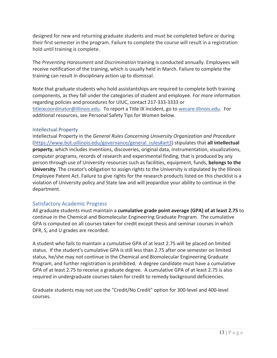designed for new and returning graduate students and must be completed before or during their first semester in the program. Failure to complete the course will result in a registration hold until training is complete.

The *Preventing Harassment and Discrimination* training is conducted annually. Employees will receive notification of the training, which is usually held in March. Failure to complete the training can result in disciplinary action up to dismissal.

Note that graduate students who hold assistantships are required to complete both training components, as they fall under the categories of student and employee. For more information regarding policies and procedures for UIUC, contact 217-333-3333 or titleixcoordinator@illinois.edu. To report a Title IX incident, go to wecare.illinois.edu. For additional resources, see Personal Safety Tips for Women below.

### Intellectual Property

Intellectual Property in the *General Rules Concerning University Organization and Procedure* (https://www.bot.uillinois.edu/governance/general\_rules#art3) stipulates that **all intellectual property**, which includes inventions, discoveries, original data, instrumentation, visualizations, computer programs, records of research and experimental finding, that is produced by any person through use of University resources such as facilities, equipment, funds, **belongs to the University**. The creator's obligation to assign rights to the University is stipulated by the Illinois Employee Patent Act. Failure to give rights for the research products listed on this checklist is a violation of University policy and State law and will jeopardize your ability to continue in the department.

### Satisfactory Academic Progress

All graduate students must maintain a **cumulative grade point average (GPA) of at least 2.75** to continue in the Chemical and Biomolecular Engineering Graduate Program.The cumulative GPA is computed on all courses taken for credit except thesis and seminar courses in which DFR, S, and U grades are recorded.

A student who fails to maintain a cumulative GPA of at least 2.75 will be placed on limited status. If the student's cumulative GPA is still less than 2.75 after one semester on limited status, he/she may not continue in the Chemical and Biomolecular Engineering Graduate Program, and further registration is prohibited. A degree candidate must have a cumulative GPA of at least 2.75 to receive a graduate degree. A cumulative GPA of at least 2.75 is also required in undergraduate courses taken for credit to remedy background deficiencies.

Graduate students may not use the "Credit/No Credit" option for 300-level and 400-level courses.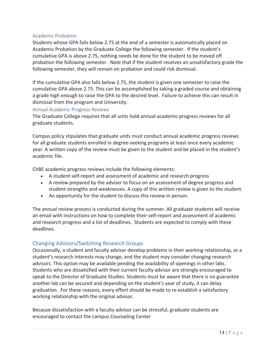### Academic Probation

Students whose GPA falls below 2.75 at the end of a semester is automatically placed on Academic Probation by the Graduate College the following semester. If the student's cumulative GPA is above 2.75, nothing needs be done for the student to be moved off probation the following semester. Note that if the student receives an unsatisfactory grade the following semester, they will remain on probation and could risk dismissal.

If the cumulative GPA also falls below 2.75, the student is given one semester to raise the cumulative GPA above 2.75. This can be accomplished by taking a graded course and obtaining a grade high enough to raise the GPA to the desired level. Failure to achieve this can result in dismissal from the program and University.

### Annual Academic Progress Reviews

The Graduate College requires that all units hold annual academic progress reviews for all graduate students.

Campus policy stipulates that graduate units must conduct annual academic progress reviews for all graduate students enrolled in degree-seeking programs at least once every academic year. A written copy of the review must be given to the student and be placed in the student's academic file.

ChBE academic progress reviews include the following elements:

- A student self-report and assessment of academic and research progress
- A review prepared by the adviser to focus on an assessment of degree progress and student strengths and weaknesses. A copy of this written review is given to the student.
- An opportunity for the student to discuss this review in person.

The annual review process is conducted during the summer. All graduate students will receive an email with instructions on how to complete their self-report and assessment of academic and research progress and a list of deadlines. Students are expected to comply with these deadlines.

### Changing Advisors/Switching Research Groups

Occasionally, a student and faculty advisor develop problems in their working relationship, or a student's research interests may change, and the student may consider changing research advisors. This option may be available pending the availability of openings in other labs. Students who are dissatisfied with their current faculty advisor are strongly encouraged to speak to the Director of Graduate Studies. Students must be aware that there is no guarantee another lab can be secured and depending on the student's year of study, it can delay graduation. For these reasons, every effort should be made to re-establish a satisfactory working relationship with the original advisor.

Because dissatisfaction with a faculty advisor can be stressful, graduate students are encouraged to contact the campus Counseling Center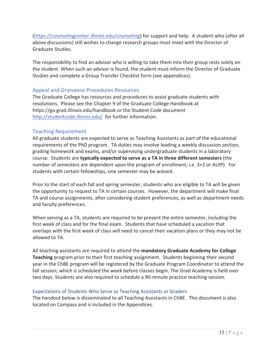(https://counselingcenter.illinois.edu/counseling) for support and help. A student who (after all above discussions) still wishes to change research groups must meet with the Director of Graduate Studies.

The responsibility to find an advisor who is willing to take them into their group rests solely on the student. When such an advisor is found, the student must inform the Director of Graduate Studies and complete a Group Transfer Checklist form (see appendices).

### Appeal and Grievance Procedures Resources

The Graduate College has resources and procedures to assist graduate students with resolutions. Please see the Chapter 9 of the Graduate College Handbook at https://go.grad.illinois.edu/handbook or the Student Code document http://studentcode.illinois.edu/ for further information.

### Teaching Requirement

All graduate students are expected to serve as Teaching Assistants as part of the educational requirements of the PhD program. TA duties may involve leading a weekly discussion section, grading homework and exams, and/or supervising undergraduate students in a laboratory course.Students are **typically expected to serve as a TA in three different semesters** (the number of semesters are dependent upon the program of enrollment; i.e. 3+2 or AUIP). For students with certain fellowships, one semester may be waived.

Prior to the start of each fall and spring semester, students who are eligible to TA will be given the opportunity to request to TA in certain courses. However, the department will make final TA and course assignments, after considering student preferences, as well as department needs and faculty preferences.

When serving as a TA, students are required to be present the entire semester, including the first week of class and for the final exam. Students that have scheduled a vacation that overlaps with the first week of class will need to cancel their vacation plans or they may not be allowed to TA.

All teaching assistants are required to attend the **mandatory Graduate Academy for College Teaching** program prior to their first teaching assignment. Students beginning their second year in the ChBE program will be registered by the Graduate Program Coordinator to attend the fall session, which is scheduled the week before classes begin. The Grad Academy is held over two days. Students are also required to schedule a 90-minute practice teaching session.

### Expectations of Students Who Serve as Teaching Assistants or Graders

The handout below is disseminated to all Teaching Assistants in ChBE. This document is also located on Compass and is included in the Appendices.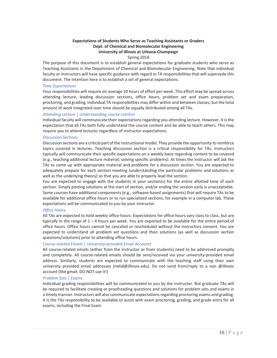#### **Expectations of Students Who Serve as Teaching Assistants or Graders Dept. of Chemical and Biomolecular Engineering University of Illinois at Urbana-Champaign**

#### Spring 2018

The purpose of this document is to establish general expectations for graduate students who serve as Teaching Assistants in the Department of Chemical and Biomolecular Engineering. Note that individual faculty or instructors will have specific guidance with regard to TA responsibilities that will supersede this document. The intention here is to establish a set of general expectations.

#### *Time Expectations*

Your responsibilities will require on average 10 hours of effort per week. This effort may be spread across attending lecture, leading discussion sections, office hours, problem set and exam preparation, proctoring, and grading. Individual TA responsibilities may differ within and between classes, but the total amount of work integrated over time should be equally distributed among all TAs.

#### *Attending Lecture | Understanding course content*

Individual faculty will communicate their expectations regarding you attending lecture. However, it is the expectation that all TAs both fully understand the course content and be able to teach others. This may require you to attend lectures regardless of instructor expectations.

#### *Discussion Sections*

Discussion sections are a critical part of the instructional model. They provide the opportunity to reinforce topics covered in lectures. Teaching discussion section is a critical responsibility for TAs. Instructors typically will communicate their specific expectations on a weekly basis regarding content to be covered (*e.g.*, teaching additional lecture material; solving specific problems). At times the instructor will ask the TAs to come up with appropriate material and problems for a discussion section. You are expected to adequately prepare for each section meeting (understanding the particular problems and solutions as well as the underlying theory) so that you are able to properly lead the section.

You are expected to engage with the students in your section(s) for the entire allotted time of each section. Simply posting solutions at the start of section, and/or ending the session early is unacceptable. Some courses have additional components (e.g., software-based assignments) that will require TAs to be available for additional office hours or to run specialized sections, for example in a computer lab. These expectations will be communicated to you by your instructor.

#### *Office Hours*

All TAs are expected to hold weekly office hours. Expectations for office hours vary class to class, but are typically in the range of  $1 - 4$  hours per week. You are expected to be available for the entire period of office hours. Office hours cannot be canceled or rescheduled without the instructors consent. You are expected to understand all problem set questions and their solutions (as well as discussion section questions/solutions) prior to attending office hours.

#### *CourseͲrelated Emails | UniversityͲprovided Email Accounts*

All course-related emails (either from the instructor or from students) need to be addressed promptly and completely. All course-related emails should be sent/received via your university-provided email address. Similarly, students are expected to communicate with the teaching staff using their own university provided email addresses (netid@illinois.edu). Do not send from/reply to a non @illinois account (like gmail; DO NOT use it!)

#### *Problem Sets | Exams*

Individual grading responsibilities will be communicated to you by the instructor. But graduate TAs will be required to facilitate creating or proofreading questions and solutions for problem sets and exams in a timely manner. Instructors will also communicate expectationsregarding proctoring exams and grading. It is the TAs responsibility to be available to assist with exam proctoring, grading, and grade entry for all exams, including the Final Exam.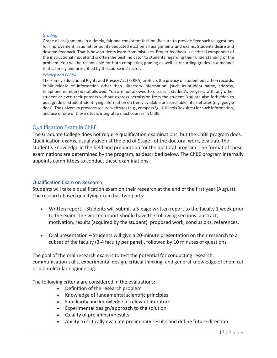#### *Grading*

Grade all assignments in a timely, fair and consistent fashion. Be sure to provide feedback (suggestions for improvement, rational for points deducted etc.) on all assignments and exams. Students desire and deserve feedback. That is how students learn from mistakes. Proper feedback is a critical component of the instructional model and is often the best indicator to students regarding their understanding of the problem. You will be responsible for both completing grading as well as recording grades in a manner that is timely and prescribed by the course instructor.

#### *Privacy and FERPA*

The Family Educational Rights and Privacy Act (FERPA) protects the privacy of student education records. Public-release of information other than 'directory information' (such as student name, address, telephone number) is not allowed. You are not allowed to discuss a student's progress with any other student or even their parents without express permission from the student. You are also forbidden to post grade or student-identifying information on freely available or searchable internet sites (e.g. google docs). The university provides secure web sites (e.g., compass2g, U. Illinois Box sites) for such information, and use of one of these sites is integral to most courses in ChBE.

### Qualification Exam in ChBE

The Graduate College does not require qualification examinations, but the ChBE program does. Qualification exams, usually given at the end of Stage I of the doctoral work, evaluate the student's knowledge in the field and preparation for the doctoral program. The format of these examinations are determined by the program, as described below. The ChBE program internally appoints committees to conduct these examinations.

### Qualification Exam on Research

Students will take a qualification exam on their research at the end of the first year (August). The research-based qualifying exam has two parts:

- Written report Students will submit a 5-page written report to the faculty 1 week prior to the exam. The written report should have the following sections: abstract, motivation, results (acquired by the student), proposed work, conclusions, references.
- Oral presentation Students will give a 20-minute presentation on their research to a subset of the faculty (3-4 faculty per panel), followed by 10 minutes of questions.

The goal of the oral research exam is to test the potential for conducting research, communication skills, experimental design, critical thinking, and general knowledge of chemical or biomolecular engineering.

The following criteria are considered in the evaluations:

- Definition of the research problem
- Knowledge of fundamental scientific principles
- Familiarity and knowledge of relevant literature
- Experimental design/approach to the solution
- Quality of preliminary results
- Ability to critically evaluate preliminary results and define future direction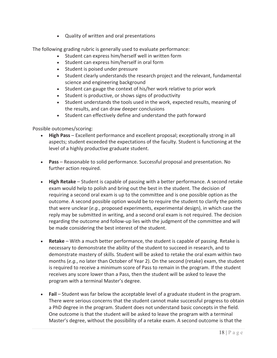• Quality of written and oral presentations

The following grading rubric is generally used to evaluate performance:

- Student can express him/herself well in written form
- Student can express him/herself in oral form
- Student is poised under pressure
- Student clearly understands the research project and the relevant, fundamental science and engineering background
- Student can gauge the context of his/her work relative to prior work
- Student is productive, or shows signs of productivity
- Student understands the tools used in the work, expected results, meaning of the results, and can draw deeper conclusions
- Student can effectively define and understand the path forward

Possible outcomes/scoring:

- x **High Pass** Excellent performance and excellent proposal; exceptionally strong in all aspects; student exceeded the expectations of the faculty. Student is functioning at the level of a highly productive graduate student.
- x **Pass** Reasonable to solid performance. Successful proposal and presentation. No further action required.
- x **High Retake** Student is capable of passing with a better performance. A second retake exam would help to polish and bring out the best in the student. The decision of requiring a second oral exam is up to the committee and is one possible option as the outcome. A second possible option would be to require the student to clarify the points that were unclear (*e.g.*, proposed experiments, experimental design), in which case the reply may be submitted in writing, and a second oral exam is not required. The decision regarding the outcome and follow-up lies with the judgment of the committee and will be made considering the best interest of the student.
- **Retake** With a much better performance, the student is capable of passing. Retake is necessary to demonstrate the ability of the student to succeed in research, and to demonstrate mastery of skills. Student will be asked to retake the oral exam within two months (*e.g.*, no later than October of Year 2). On the second (retake) exam, the student is required to receive a minimum score of Pass to remain in the program. If the student receives any score lower than a Pass, then the student will be asked to leave the program with a terminal Master's degree.
- **Fail** Student was far below the acceptable level of a graduate student in the program. There were serious concerns that the student cannot make successful progress to obtain a PhD degree in the program. Student does not understand basic concepts in the field. One outcome is that the student will be asked to leave the program with a terminal Master's degree, without the possibility of a retake exam. A second outcome is that the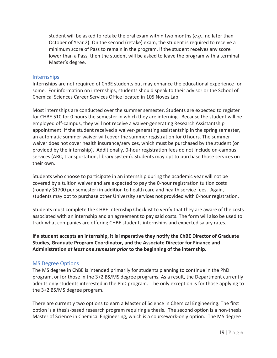student will be asked to retake the oral exam within two months (*e.g.*, no later than October of Year 2). On the second (retake) exam, the student is required to receive a minimum score of Pass to remain in the program. If the student receives any score lower than a Pass, then the student will be asked to leave the program with a terminal Master's degree.

### Internships

Internships are not required of ChBE students but may enhance the educational experience for some. For information on internships, students should speak to their advisor or the School of Chemical Sciences Career Services Office located in 105 Noyes Lab.

Most internships are conducted over the summer semester. Students are expected to register for CHBE 510 for 0 hours the semester in which they are interning. Because the student will be employed off-campus, they will not receive a waiver-generating Research Assistantship appointment. If the student received a waiver-generating assistantship in the spring semester, an automatic summer waiver will cover the summer registration for 0 hours. The summer waiver does not cover health insurance/services, which must be purchased by the student (or provided by the internship). Additionally, 0-hour registration fees do not include on-campus services (ARC, transportation, library system). Students may opt to purchase those services on their own.

Students who choose to participate in an internship during the academic year will not be covered by a tuition waiver and are expected to pay the 0-hour registration tuition costs (roughly \$1700 per semester) in addition to health care and health service fees. Again, students may opt to purchase other University services not provided with 0-hour registration.

Students must complete the CHBE Internship Checklist to verify that they are aware of the costs associated with an internship and an agreement to pay said costs. The form will also be used to track what companies are offering CHBE students internships and expected salary rates.

**If a student accepts an internship, it is imperative they notify the ChBE Director of Graduate Studies, Graduate Program Coordinator, and the Associate Director for Finance and Administration** *at least one semester prior* **to the beginning of the internship**.

### MS Degree Options

The MS degree in ChBE is intended primarily for students planning to continue in the PhD program, or for those in the 3+2 BS/MS degree programs. As a result, the Department currently admits only students interested in the PhD program. The only exception is for those applying to the 3+2 BS/MS degree program.

There are currently two options to earn a Master of Science in Chemical Engineering. The first option is a thesis-based research program requiring a thesis. The second option is a non-thesis Master of Science in Chemical Engineering, which is a coursework-only option. The MS degree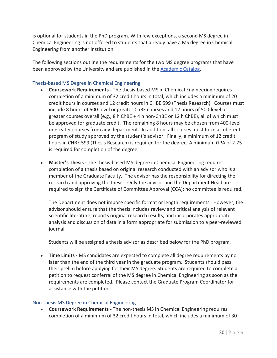is optional for students in the PhD program. With few exceptions, a second MS degree in Chemical Engineering is not offered to students that already have a MS degree in Chemical Engineering from another institution.

The following sections outline the requirements for the two MS degree programs that have been approved by the University and are published in the Academic Catalog.

### Thesis-based MS Degree in Chemical Engineering

- **Coursework Requirements** The thesis-based MS in Chemical Engineering requires completion of a minimum of 32 credit hours in total, which includes a minimum of 20 credit hours in courses and 12 credit hours in CHBE 599 (Thesis Research). Courses must include 8 hours of 500-level or greater ChBE courses and 12 hours of 500-level or greater courses overall (e.g.,  $8$  h ChBE + 4 h non-ChBE or 12 h ChBE), all of which must be approved for graduate credit. The remaining 8 hours may be chosen from 400-level or greater courses from any department. In addition, all courses must form a coherent program of study approved by the student's advisor. Finally, a minimum of 12 credit hours in CHBE 599 (Thesis Research) is required for the degree. A minimum GPA of 2.75 is required for completion of the degree.
- **Master's Thesis** The thesis-based MS degree in Chemical Engineering requires completion of a thesis based on original research conducted with an advisor who is a member of the Graduate Faculty. The advisor has the responsibility for directing the research and approving the thesis. Only the advisor and the Department Head are required to sign the Certificate of Committee Approval (CCA); no committee is required.

The Department does not impose specific format or length requirements. However, the advisor should ensure that the thesis includes review and critical analysis of relevant scientific literature, reports original research results, and incorporates appropriate analysis and discussion of data in a form appropriate for submission to a peer-reviewed journal.

Students will be assigned a thesis advisor as described below for the PhD program.

**Time Limits** - MS candidates are expected to complete all degree requirements by no later than the end of the third year in the graduate program. Students should pass their prelim before applying for their MS degree. Students are required to complete a petition to request conferral of the MS degree in Chemical Engineering as soon as the requirements are completed. Please contact the Graduate Program Coordinator for assistance with the petition.

### Non-thesis MS Degree in Chemical Engineering

**• Coursework Requirements** - The non-thesis MS in Chemical Engineering requires completion of a minimum of 32 credit hours in total, which includes a minimum of 30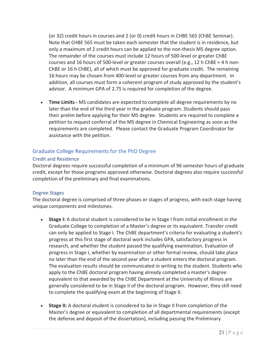(or 32) credit hours in courses and 2 (or 0) credit hours in CHBE 565 (ChBE Seminar). Note that CHBE 565 must be taken each semester that the student is in residence, but only a maximum of 2 credit hours can be applied to the non-thesis MS degree option. The remainder of the courses must include 12 hours of 500-level or greater ChBE courses and 16 hours of 500-level or greater courses overall (e.g., 12 h ChBE + 4 h non-ChBE or 16 h ChBE), all of which must be approved for graduate credit. The remaining 16 hours may be chosen from 400-level or greater courses from any department. In addition, all courses must form a coherent program of study approved by the student's advisor. A minimum GPA of 2.75 is required for completion of the degree.

**Time Limits** - MS candidates are expected to complete all degree requirements by no later than the end of the third year in the graduate program. Students should pass their prelim before applying for their MS degree. Students are required to complete a petition to request conferral of the MS degree in Chemical Engineering as soon as the requirements are completed. Please contact the Graduate Program Coordinator for assistance with the petition.

### Graduate College Requirements for the PhD Degree

### Credit and Residence

Doctoral degrees require successful completion of a minimum of 96 semester hours of graduate credit, except for those programs approved otherwise. Doctoral degrees also require successful completion of the preliminary and final examinations.

### Degree Stages

The doctoral degree is comprised of three phases or stages of progress, with each stage having unique components and milestones.

- **Stage I:** A doctoral student is considered to be in Stage I from initial enrollment in the Graduate College to completion of a Master's degree or its equivalent. Transfer credit can only be applied to Stage I. The ChBE department's criteria for evaluating a student's progress at this first stage of doctoral work includes GPA, satisfactory progress in research, and whether the student passed the qualifying examination. Evaluation of progress in Stage I, whether by examination or other formal review, should take place no later than the end of the second year after a student enters the doctoral program. The evaluation results should be communicated in writing to the student. Students who apply to the ChBE doctoral program having already completed a master's degree equivalent to that awarded by the ChBE Department at the University of Illinois are generally considered to be in Stage II of the doctoral program. However, they still need to complete the qualifying exam at the beginning of Stage II.
- **Stage II:** A doctoral student is considered to be in Stage II from completion of the Master's degree or equivalent to completion of all departmental requirements (except the defense and deposit of the dissertation), including passing the Preliminary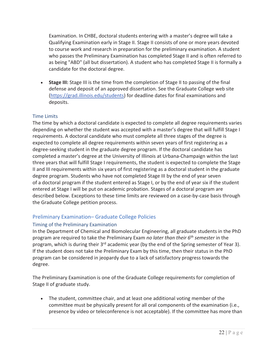Examination. In CHBE, doctoral students entering with a master's degree will take a Qualifying Examination early in Stage II. Stage II consists of one or more years devoted to course work and research in preparation for the preliminary examination. A student who passes the Preliminary Examination has completed Stage II and is often referred to as being "ABD" (all but dissertation). A student who has completed Stage II is formally a candidate for the doctoral degree.

**Stage III:** Stage III is the time from the completion of Stage II to passing of the final defense and deposit of an approved dissertation. See the Graduate College web site (https://grad.illinois.edu/students) for deadline dates for final examinations and deposits.

### Time Limits

The time by which a doctoral candidate is expected to complete all degree requirements varies depending on whether the student was accepted with a master's degree that will fulfill Stage I requirements. A doctoral candidate who must complete all three stages of the degree is expected to complete all degree requirements within seven years of first registering as a degree-seeking student in the graduate degree program. If the doctoral candidate has completed a master's degree at the University of Illinois at Urbana-Champaign within the last three years that will fulfill Stage I requirements, the student is expected to complete the Stage II and III requirements within six years of first registering as a doctoral student in the graduate degree program. Students who have not completed Stage III by the end of year seven of a doctoral program if the student entered as Stage I, or by the end of year six if the student entered at Stage I will be put on academic probation. Stages of a doctoral program are described below. Exceptions to these time limits are reviewed on a case-by-case basis through the Graduate College petition process.

### Preliminary Examination– Graduate College Policies

### Timing of the Preliminary Examination

In the Department of Chemical and Biomolecular Engineering, all graduate students in the PhD program are required to take the Preliminary Exam *no later than their 6th semester* in the program, which is during their 3<sup>rd</sup> academic year (by the end of the Spring semester of Year 3). If the student does not take the Preliminary Exam by this time, then their status in the PhD program can be considered in jeopardy due to a lack of satisfactory progress towards the degree.

The Preliminary Examination is one of the Graduate College requirements for completion of Stage II of graduate study.

• The student, committee chair, and at least one additional voting member of the committee must be physically present for all oral components of the examination (i.e., presence by video or teleconference is not acceptable). If the committee has more than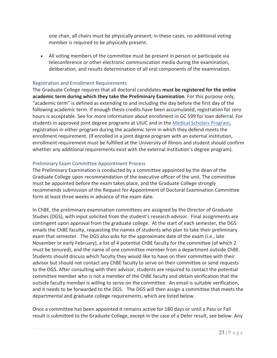one chair, all chairs must be physically present; in these cases, no additional voting member is required to be physically present.

• All voting members of the committee must be present in person or participate via teleconference or other electronic communication media during the examination, deliberation, and results determination of all oral components of the examination.

### Registration and Enrollment Requirements

The Graduate College requires that all doctoral candidates **must be registered for the entire academic term during which they take the Preliminary Examination**. For this purpose only, "academic term" is defined as extending to and including the day before the first day of the following academic term. If enough thesis credits have been accumulated, registration for zero hours is acceptable. See for more information about enrollment in GC 599 for loan deferral. For students in approved joint degree programs at UIUC and in the Medical Scholars Program, registration in either program during the academic term in which they defend meets the enrollment requirement. (If enrolled in a joint degree program with an external institution, enrollment requirement must be fulfilled at the University of Illinois and student should confirm whether any additional requirements exist with the external institution's degree program).

### Preliminary Exam Committee Appointment Process

The Preliminary Examination is conducted by a committee appointed by the dean of the Graduate College upon recommendation of the executive officer of the unit. The committee must be appointed before the exam takes place, and the Graduate College strongly recommends submission of the Request for Appointment of Doctoral Examination Committee form at least three weeks in advance of the exam date.

In ChBE, the preliminary examination committees are assigned by the Director of Graduate Studies (DGS), with input solicited from the student's research advisor. Final assignments are contingent upon approval from the graduate college. At the start of each semester, the DGS emails the ChBE faculty, requesting the names of students who plan to take their preliminary exam that semester. The DGS also asks for the approximate date of the exam (i.e., late November or early February), a list of 4 potential ChBE faculty for the committee (of which 2 must be tenured), and the name of one committee member from a department outside ChBE. Students should discuss which faculty they would like to have on their committee with their advisor but should not contact any ChBE faculty to serve on their committee or send requests to the DGS. After consulting with their advisor, students are required to contact the potential committee member who is not a member of the ChBE faculty and obtain verification that the outside faculty member is willing to serve on the committee.An email is suitable verification, and it needs to be forwarded to the DGS. The DGS will then assign a committee that meets the departmental and graduate college requirements, which are listed below.

Once a committee has been appointed it remains active for 180 days or until a Pass or Fail result is submitted to the Graduate College, except in the case of a Defer result, see below. Any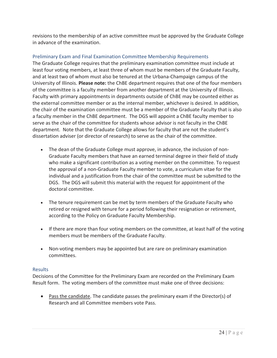revisions to the membership of an active committee must be approved by the Graduate College in advance of the examination.

### Preliminary Exam and Final Examination Committee Membership Requirements

The Graduate College requires that the preliminary examination committee must include at least four voting members, at least three of whom must be members of the Graduate Faculty, and at least two of whom must also be tenured at the Urbana-Champaign campus of the University of Illinois. **Please note:** the ChBE department requires that one of the four members of the committee is a faculty member from another department at the University of Illinois. Faculty with primary appointments in departments outside of ChBE may be counted either as the external committee member or as the internal member, whichever is desired. In addition, the chair of the examination committee must be a member of the Graduate Faculty that is also a faculty member in the ChBE department. The DGS will appoint a ChBE faculty member to serve as the chair of the committee for students whose advisor is not faculty in the ChBE department. Note that the Graduate College allows for faculty that are not the student's dissertation adviser (or director of research) to serve as the chair of the committee.

- The dean of the Graduate College must approve, in advance, the inclusion of non-Graduate Faculty members that have an earned terminal degree in their field of study who make a significant contribution as a voting member on the committee. To request the approval of a non-Graduate Faculty member to vote, a curriculum vitae for the individual and a justification from the chair of the committee must be submitted to the DGS.The DGS will submit this material with the request for appointment of the doctoral committee.
- The tenure requirement can be met by term members of the Graduate Faculty who retired or resigned with tenure for a period following their resignation or retirement, according to the Policy on Graduate Faculty Membership.
- If there are more than four voting members on the committee, at least half of the voting members must be members of the Graduate Faculty.
- Non-voting members may be appointed but are rare on preliminary examination committees.

### Results

Decisions of the Committee for the Preliminary Exam are recorded on the Preliminary Exam Result form. The voting members of the committee must make one of three decisions:

 $\bullet$  Pass the candidate. The candidate passes the preliminary exam if the Director(s) of Research and all Committee members vote Pass.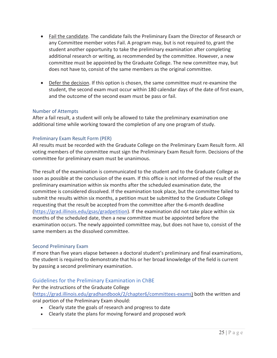- Fail the candidate. The candidate fails the Preliminary Exam the Director of Research or any Committee member votes Fail. A program may, but is not required to, grant the student another opportunity to take the preliminary examination after completing additional research or writing, as recommended by the committee. However, a new committee must be appointed by the Graduate College. The new committee may, but does not have to, consist of the same members as the original committee.
- Defer the decision. If this option is chosen, the same committee must re-examine the student, the second exam must occur within 180 calendar days of the date of first exam, and the outcome of the second exam must be pass or fail.

### Number of Attempts

After a fail result, a student will only be allowed to take the preliminary examination one additional time while working toward the completion of any one program of study.

### Preliminary Exam Result Form (PER)

All results must be recorded with the Graduate College on the Preliminary Exam Result form. All voting members of the committee must sign the Preliminary Exam Result form. Decisions of the committee for preliminary exam must be unanimous.

The result of the examination is communicated to the student and to the Graduate College as soon as possible at the conclusion of the exam. If this office is not informed of the result of the preliminary examination within six months after the scheduled examination date, the committee is considered dissolved. If the examination took place, but the committee failed to submit the results within six months, a petition must be submitted to the Graduate College requesting that the result be accepted from the committee after the 6-month deadline (https://grad.illinois.edu/gsas/gradpetition). If the examination did not take place within six months of the scheduled date, then a new committee must be appointed before the examination occurs. The newly appointed committee may, but does not have to, consist of the same members as the dissolved committee.

### Second Preliminary Exam

If more than five years elapse between a doctoral student's preliminary and final examinations, the student is required to demonstrate that his or her broad knowledge of the field is current by passing a second preliminary examination.

### Guidelines for the Preliminary Examination in ChBE

Per the instructions of the Graduate College (https://grad.illinois.edu/gradhandbook/2/chapter6/committees-exams) both the written and oral portion of the Preliminary Exam should:

- Clearly state the goals of research and progress to date
- Clearly state the plans for moving forward and proposed work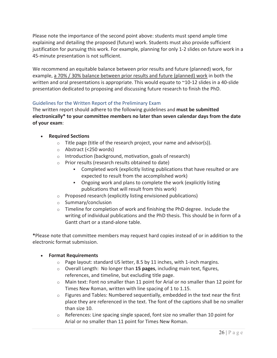Please note the importance of the second point above: students must spend ample time explaining and detailing the proposed (future) work. Students must also provide sufficient justification for pursuing this work. For example, planning for only 1-2 slides on future work in a 45-minute presentation is not sufficient.

We recommend an equitable balance between prior results and future (planned) work, for example, a 70% / 30% balance between prior results and future (planned) work in both the written and oral presentations is appropriate. This would equate to ~10-12 slides in a 40-slide presentation dedicated to proposing and discussing future research to finish the PhD.

### Guidelines for the Written Report of the Preliminary Exam

The written report should adhere to the following guidelines and **must be submitted electronically\* to your committee members no later than seven calendar days from the date of your exam**:

- x **Required Sections**
	- $\circ$  Title page (title of the research project, your name and advisor(s)).
	- o Abstract (<250 words)
	- o Introduction (background, motivation, goals of research)
	- o Prior results (research results obtained to date)
		- Completed work (explicitly listing publications that have resulted or are expected to result from the accomplished work)
		- Ongoing work and plans to complete the work (explicitly listing publications that will result from this work)
	- $\circ$  Proposed research (explicitly listing envisioned publications)
	- o Summary/conclusion
	- $\circ$  Timeline for completion of work and finishing the PhD degree. Include the writing of individual publications and the PhD thesis. This should be in form of a Gantt chart or a stand-alone table.

**\***Please note that committee members may request hard copies instead of or in addition to the electronic format submission.

### x **Format Requirements**

- o Page layout: standard US letter, 8.5 by 11 inches, with 1-inch margins.
- o Overall Length:No longer than **15 pages**, including main text, figures, references, and timeline, but excluding title page.
- $\circ$  Main text: Font no smaller than 11 point for Arial or no smaller than 12 point for Times New Roman, written with line spacing of 1 to 1.15.
- $\circ$  Figures and Tables: Numbered sequentially, embedded in the text near the first place they are referenced in the text. The font of the captions shall be no smaller than size 10.
- $\circ$  References: Line spacing single spaced, font size no smaller than 10 point for Arial or no smaller than 11 point for Times New Roman.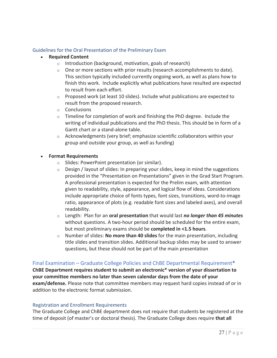### Guidelines for the Oral Presentation of the Preliminary Exam

- x **Required Content**
	- o Introduction (background, motivation, goals of research)
	- $\circ$  One or more sections with prior results (research accomplishments to date). This section typically included currently ongoing work, as well as plans how to finish this work. Include explicitly what publications have resulted are expected to result from each effort.
	- $\circ$  Proposed work (at least 10 slides). Include what publications are expected to result from the proposed research.
	- o Conclusions
	- $\circ$  Timeline for completion of work and finishing the PhD degree. Include the writing of individual publications and the PhD thesis. This should be in form of a Gantt chart or a stand-alone table.
	- $\circ$  Acknowledgments (very brief; emphasize scientific collaborators within your group and outside your group, as well as funding)

### x **Format Requirements**

- o Slides: PowerPoint presentation (or similar).
- $\circ$  Design / layout of slides: In preparing your slides, keep in mind the suggestions provided in the "Presentation on Presentations" given in the Grad Start Program. A professional presentation is expected for the Prelim exam, with attention given to readability, style, appearance, and logical flow of ideas. Considerations include appropriate choice of fonts types, font sizes, transitions, word-to-image ratio, appearance of plots (e.g. readable font sizes and labeled axes), and overall readability.
- o Length:Plan for an **oral presentation** that would last *no longer than 45 minutes* without questions. A two-hour period should be scheduled for the entire exam, but most preliminary exams should be **completed in <1.5 hours**.
- o Number of slides: **No more than 40 slides** for the main presentation, including title slides and transition slides. Additional backup slides may be used to answer questions, but these should not be part of the main presentation

### Final Examination – Graduate College Policies and ChBE Departmental Requirement**\***

**ChBE Department requires student to submit an electronic\* version of your dissertation to your committee members no later than seven calendar days from the date of your exam/defense.** Please note that committee members may request hard copies instead of or in addition to the electronic format submission.

### Registration and Enrollment Requirements

The Graduate College and ChBE department does not require that students be registered at the time of deposit (of master's or doctoral thesis). The Graduate College does require **that all**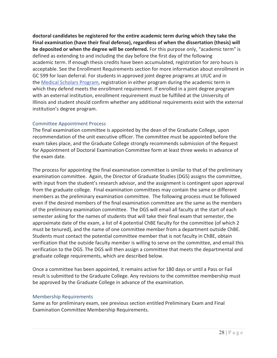**doctoral candidates be registered for the entire academic term during which they take the Final examination (have their final defense), regardless of when the dissertation (thesis) will be deposited or when the degree will be conferred.** For this purpose only, "academic term" is defined as extending to and including the day before the first day of the following academic term. If enough thesis credits have been accumulated, registration for zero hours is acceptable. See the Enrollment Requirements section for more information about enrollment in GC 599 for loan deferral. For students in approved joint degree programs at UIUC and in the Medical Scholars Program, registration in either program during the academic term in which they defend meets the enrollment requirement. If enrolled in a joint degree program with an external institution, enrollment requirement must be fulfilled at the University of Illinois and student should confirm whether any additional requirements exist with the external institution's degree program.

### Committee Appointment Process

The final examination committee is appointed by the dean of the Graduate College, upon recommendation of the unit executive officer. The committee must be appointed before the exam takes place, and the Graduate College strongly recommends submission of the Request for Appointment of Doctoral Examination Committee form at least three weeks in advance of the exam date.

The process for appointing the final examination committee is similar to that of the preliminary examination committee. Again, the Director of Graduate Studies (DGS) assigns the committee, with input from the student's research advisor, and the assignment is contingent upon approval from the graduate college. Final examination committees may contain the same or different members as the preliminary examination committee. The following process must be followed even if the desired members of the final examination committee are the same as the members of the preliminary examination committee.The DGS will email all faculty at the start of each semester asking for the names of students that will take their final exam that semester, the approximate date of the exam, a list of 4 potential ChBE faculty for the committee (of which 2 must be tenured), and the name of one committee member from a department outside ChBE. Students must contact the potential committee member that is not faculty in ChBE, obtain verification that the outside faculty member is willing to serve on the committee, and email this verification to the DGS. The DGS will then assign a committee that meets the departmental and graduate college requirements, which are described below.

Once a committee has been appointed, it remains active for 180 days or until a Pass or Fail result is submitted to the Graduate College. Any revisions to the committee membership must be approved by the Graduate College in advance of the examination.

### Membership Requirements

Same as for preliminary exam, see previous section entitled Preliminary Exam and Final Examination Committee Membership Requirements.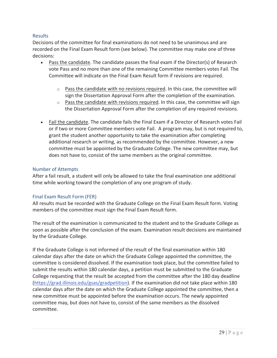### Results

Decisions of the committee for final examinations do not need to be unanimous and are recorded on the Final Exam Result form (see below). The committee may make one of three decisions:

- $\bullet$  Pass the candidate. The candidate passes the final exam if the Director(s) of Research vote Pass and no more than one of the remaining Committee members votes Fail. The Committee will indicate on the Final Exam Result form if revisions are required.
	- $\circ$  Pass the candidate with no revisions required. In this case, the committee will sign the Dissertation Approval Form after the completion of the examination.
	- $\circ$  Pass the candidate with revisions required. In this case, the committee will sign the Dissertation Approval Form after the completion of any required revisions.
- Fail the candidate. The candidate fails the Final Exam if a Director of Research votes Fail or if two or more Committee members vote Fail. A program may, but is not required to, grant the student another opportunity to take the examination after completing additional research or writing, as recommended by the committee. However, a new committee must be appointed by the Graduate College. The new committee may, but does not have to, consist of the same members as the original committee.

### Number of Attempts

After a fail result, a student will only be allowed to take the final examination one additional time while working toward the completion of any one program of study.

### Final Exam Result Form (FER)

All results must be recorded with the Graduate College on the Final Exam Result form. Voting members of the committee must sign the Final Exam Result form.

The result of the examination is communicated to the student and to the Graduate College as soon as possible after the conclusion of the exam. Examination result decisions are maintained by the Graduate College.

If the Graduate College is not informed of the result of the final examination within 180 calendar days after the date on which the Graduate College appointed the committee, the committee is considered dissolved. If the examination took place, but the committee failed to submit the results within 180 calendar days, a petition must be submitted to the Graduate College requesting that the result be accepted from the committee after the 180 day deadline (https://grad.illinois.edu/gsas/gradpetition). If the examination did not take place within 180 calendar days after the date on which the Graduate College appointed the committee, then a new committee must be appointed before the examination occurs. The newly appointed committee may, but does not have to, consist of the same members as the dissolved committee.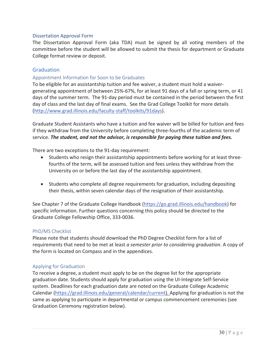### Dissertation Approval Form

The Dissertation Approval Form (aka TDA) must be signed by all voting members of the committee before the student will be allowed to submit the thesis for department or Graduate College format review or deposit.

### **Graduation**

### Appointment Information for Soon to be Graduates

To be eligible for an assistantship tuition and fee waiver, a student must hold a waivergenerating appointment of between 25%-67%, for at least 91 days of a fall or spring term, or 41 days of the summer term. The 91-day period must be contained in the period between the first day of class and the last day of final exams. See the Grad College Toolkit for more details (http://www.grad.illinois.edu/faculty-staff/toolkits/91days).

Graduate Student Assistants who have a tuition and fee waiver will be billed for tuition and fees if they withdraw from the University before completing three-fourths of the academic term of service. *The student, and not the advisor, is responsible for paying these tuition and fees.*

There are two exceptions to the 91-day requirement:

- Students who resign their assistantship appointments before working for at least threefourths of the term, will be assessed tuition and fees unless they withdraw from the University on or before the last day of the assistantship appointment.
- Students who complete all degree requirements for graduation, including depositing their thesis, within seven calendar days of the resignation of their assistantship.

See Chapter 7 of the Graduate College Handbook (https://go.grad.illinois.edu/handbook) for specific information. Further questions concerning this policy should be directed to the Graduate College Fellowship Office, 333-0036.

### PhD/MS Checklist

Please note that students should download the PhD Degree Checklist form for a list of requirements that need to be met at least *a semester prior to considering graduation*. A copy of the form is located on Compass and in the appendices.

### Applying for Graduation

To receive a degree, a student must apply to be on the degree list for the appropriate graduation date. Students should apply for graduation using the UI-Integrate Self-Service system. Deadlines for each graduation date are noted on the Graduate College Academic Calendar (https://grad.illinois.edu/general/calendar/current). Applying for graduation is not the same as applying to participate in departmental or campus commencement ceremonies (see Graduation Ceremony registration below).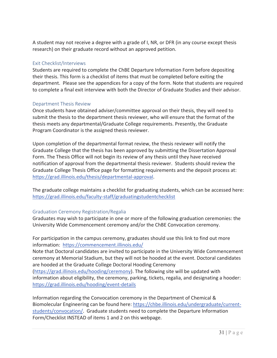A student may not receive a degree with a grade of I, NR, or DFR (in any course except thesis research) on their graduate record without an approved petition.

### Exit Checklist/Interviews

Students are required to complete the ChBE Departure Information Form before depositing their thesis. This form is a checklist of items that must be completed before exiting the department. Please see the appendices for a copy of the form. Note that students are required to complete a final exit interview with both the Director of Graduate Studies and their advisor.

### Department Thesis Review

Once students have obtained adviser/committee approval on their thesis, they will need to submit the thesis to the department thesis reviewer, who will ensure that the format of the thesis meets any departmental/Graduate College requirements. Presently, the Graduate Program Coordinator is the assigned thesis reviewer.

Upon completion of the departmental format review, the thesis reviewer will notify the Graduate College that the thesis has been approved by submitting the Dissertation Approval Form. The Thesis Office will not begin its review of any thesis until they have received notification of approval from the departmental thesis reviewer. Students should review the Graduate College Thesis Office page for formatting requirements and the deposit process at: https://grad.illinois.edu/thesis/departmental-approval.

The graduate college maintains a checklist for graduating students, which can be accessed here: https://grad.illinois.edu/faculty-staff/graduatingstudentchecklist

### Graduation Ceremony Registration/Regalia

Graduates may wish to participate in one or more of the following graduation ceremonies: the University Wide Commencement ceremony and/or the ChBE Convocation ceremony.

For participation in the campus ceremony, graduates should use this link to find out more information: https://commencement.illinois.edu/

Note that Doctoral candidates are invited to participate in the University Wide Commencement ceremony at Memorial Stadium, but they will not be hooded at the event. Doctoral candidates are hooded at the Graduate College Doctoral Hooding Ceremony (https://grad.illinois.edu/hooding/ceremony). The following site will be updated with information about eligibility, the ceremony, parking, tickets, regalia, and designating a hooder: https://grad.illinois.edu/hooding/event-details

Information regarding the Convocation ceremony in the Department of Chemical & Biomolecular Engineering can be found here: https://chbe.illinois.edu/undergraduate/currentstudents/convocation/. Graduate students need to complete the Departure Information Form/Checklist INSTEAD of items 1 and 2 on this webpage.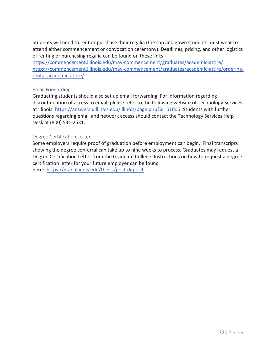Students will need to rent or purchase their regalia (the cap and gown students must wear to attend either commencement or convocation ceremony). Deadlines, pricing, and other logistics of renting or purchasing regalia can be found on these links:

https://commencement.illinois.edu/may-commencement/graduates/academic-attire/ https://commencement.illinois.edu/may-commencement/graduates/academic-attire/orderingrental-academic-attire/

### Email Forwarding

Graduating students should also set up email forwarding. For information regarding discontinuation of access to email, please refer to the following website of Technology Services at Illinois: https://answers.uillinois.edu/illinois/page.php?id=51006. Students with further questions regarding email and network access should contact the Technology Services Help Desk at (800) 531-2531.

### Degree Certification Letter

Some employers require proof of graduation before employment can begin. Final transcripts showing the degree conferral can take up to nine weeks to process. Graduates may request a Degree Certification Letter from the Graduate College. Instructions on how to request a degree certification letter for your future employer can be found here: https://grad.illinois.edu/thesis/post-deposit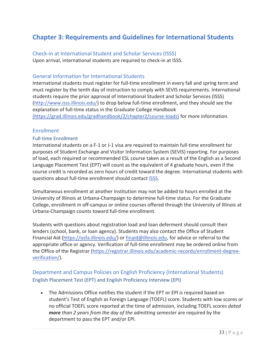# **Chapter 3: Requirements and Guidelines for International Students**

Check-in at International Student and Scholar Services (ISSS) Upon arrival, international students are required to check-in at ISSS.

# General Information for International Students

International students must register for full-time enrollment in every fall and spring term and must register by the tenth day of instruction to comply with SEVIS requirements. International students require the prior approval of International Student and Scholar Services (ISSS) (http://www.isss.illinois.edu/) to drop below full-time enrollment, and they should see the explanation of full-time status in the Graduate College Handbook

(https://grad.illinois.edu/gradhandbook/2/chapter2/course-loads) for more information.

### Enrollment

### Full-time Enrollment

International students on a F-1 or J-1 visa are required to maintain full-time enrollment for purposes of Student Exchange and Visitor Information System (SEVIS) reporting. For purposes of load, each required or recommended ESL course taken as a result of the English as a Second Language Placement Test (EPT) will count as the equivalent of 4 graduate hours, even if the course credit is recorded as zero hours of credit toward the degree. International students with questions about full-time enrollment should contact ISSS.

Simultaneous enrollment at another institution may not be added to hours enrolled at the University of Illinois at Urbana-Champaign to determine full-time status. For the Graduate College, enrollment in off-campus or online courses offered through the University of Illinois at Urbana-Champaign counts toward full-time enrollment.

Students with questions about registration load and loan deferment should consult their lenders (school, bank, or loan agency). Students may also contact the Office of Student Financial Aid (https://osfa.illinois.edu/) or finaid@illinois.edu, for advice or referral to the appropriate office or agency. Verification of full-time enrollment may be ordered online from the Office of the Registrar (https://registrar.illinois.edu/academic-records/enrollment-degreeverification/).

# Department and Campus Policies on English Proficiency (International Students) English Placement Test (EPT) and English Proficiency Interview (EPI)

• The Admissions Office notifies the student if the EPT or EPI is required based on student's Test of English as Foreign Language (TOEFL) score. Students with low scores or no official TOEFL score reported at the time of admission, including TOEFL scores *dated more than 2 years from the day of the admitting semester* are required by the department to pass the EPT and/or EPI.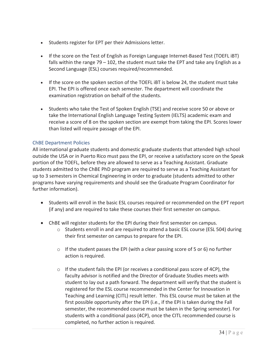- Students register for EPT per their Admissions letter.
- If the score on the Test of English as Foreign Language Internet-Based Test (TOEFL iBT) falls within the range 79 – 102, the student must take the EPT and take any English as a Second Language (ESL) courses required/recommended.
- If the score on the spoken section of the TOEFL IBT is below 24, the student must take EPI. The EPI is offered once each semester. The department will coordinate the examination registration on behalf of the students.
- Students who take the Test of Spoken English (TSE) and receive score 50 or above or take the International English Language Testing System (IELTS) academic exam and receive a score of 8 on the spoken section are exempt from taking the EPI. Scores lower than listed will require passage of the EPI.

### ChBE Department Policies

All international graduate students and domestic graduate students that attended high school outside the USA or in Puerto Rico must pass the EPI, or receive a satisfactory score on the Speak portion of the TOEFL, before they are allowed to serve as a Teaching Assistant. Graduate students admitted to the ChBE PhD program are required to serve as a Teaching Assistant for up to 3 semesters in Chemical Engineering in order to graduate (students admitted to other programs have varying requirements and should see the Graduate Program Coordinator for further information).

- Students will enroll in the basic ESL courses required or recommended on the EPT report (if any) and are required to take these courses their first semester on campus.
- ChBE will register students for the EPI during their first semester on campus.
	- $\circ$  Students enroll in and are required to attend a basic ESL course (ESL 504) during their first semester on campus to prepare for the EPI.
	- $\circ$  If the student passes the EPI (with a clear passing score of 5 or 6) no further action is required.
	- $\circ$  If the student fails the EPI (or receives a conditional pass score of 4CP), the faculty advisor is notified and the Director of Graduate Studies meets with student to lay out a path forward. The department will verify that the student is registered for the ESL course recommended in the Center for Innovation in Teaching and Learning (CITL) result letter. This ESL course must be taken at the first possible opportunity after the EPI (i.e., if the EPI is taken during the Fall semester, the recommended course must be taken in the Spring semester). For students with a conditional pass (4CP), once the CITL recommended course is completed, no further action is required.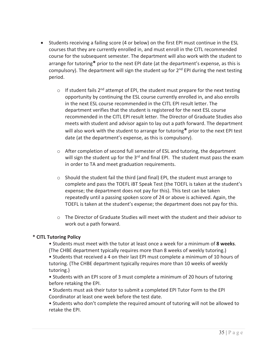- Students receiving a failing score (4 or below) on the first EPI must continue in the ESL courses that they are currently enrolled in, and must enroll in the CITL recommended course for the subsequent semester. The department will also work with the student to arrange for tutoring**\*** prior to the next EPI date (at the department's expense, as this is compulsory). The department will sign the student up for  $2<sup>nd</sup>$  EPI during the next testing period.
	- $\circ$  If student fails 2<sup>nd</sup> attempt of EPI, the student must prepare for the next testing opportunity by continuing the ESL course currently enrolled in, and also enrolls in the next ESL course recommended in the CITL EPI result letter. The department verifies that the student is registered for the next ESL course recommended in the CITL EPI result letter. The Director of Graduate Studies also meets with student and advisor again to lay out a path forward. The department will also work with the student to arrange for tutoring**\*** prior to the next EPI test date (at the department's expense, as this is compulsory).
	- $\circ$  After completion of second full semester of ESL and tutoring, the department will sign the student up for the 3<sup>rd</sup> and final EPI. The student must pass the exam in order to TA and meet graduation requirements.
	- $\circ$  Should the student fail the third (and final) EPI, the student must arrange to complete and pass the TOEFL iBT Speak Test (the TOEFL is taken at the student's expense; the department does not pay for this). This test can be taken repeatedly until a passing spoken score of 24 or above is achieved. Again, the TOEFL is taken at the student's expense; the department does not pay for this.
	- $\circ$  The Director of Graduate Studies will meet with the student and their advisor to work out a path forward.

### **\* CITL Tutoring Policy**

• Students must meet with the tutor at least once a week for a minimum of **8 weeks**. (The CHBE department typically requires more than 8 weeks of weekly tutoring.)

• Students that received a 4 on their last EPI must complete a minimum of 10 hours of tutoring. (The CHBE department typically requires more than 10 weeks of weekly tutoring.)

• Students with an EPI score of 3 must complete a minimum of 20 hours of tutoring before retaking the EPI.

• Students must ask their tutor to submit a completed EPI Tutor Form to the EPI Coordinator at least one week before the test date.

• Students who don't complete the required amount of tutoring will not be allowed to retake the EPI.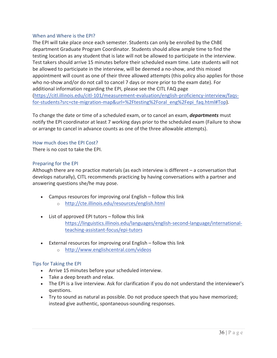### When and Where is the EPI?

The EPI will take place once each semester. Students can only be enrolled by the ChBE department Graduate Program Coordinator. Students should allow ample time to find the testing location as any student that is late will not be allowed to participate in the interview. Test takers should arrive 15 minutes before their scheduled exam time. Late students will not be allowed to participate in the interview, will be deemed a no-show, and this missed appointment will count as one of their three allowed attempts (this policy also applies for those who no-show and/or do not call to cancel 7 days or more prior to the exam date). For additional information regarding the EPI, please see the CITL FAQ page (https://citl.illinois.edu/citl-101/measurement-evaluation/english-proficiency-interview/faqsfor-students?src=cte-migration-map&url=%2Ftesting%2Foral\_eng%2Fepi\_faq.html#Top).

To change the date or time of a scheduled exam, or to cancel an exam, *departments* must notify the EPI coordinator at least 7 working days prior to the scheduled exam (Failure to show or arrange to cancel in advance counts as one of the three allowable attempts).

### How much does the EPI Cost?

There is no cost to take the EPI.

### Preparing for the EPI

Although there are no practice materials (as each interview is different – a conversation that develops naturally), CITL recommends practicing by having conversations with a partner and answering questions she/he may pose.

- $\bullet$  Campus resources for improving oral English follow this link
	- o http://cte.illinois.edu/resources/english.html
- $\bullet$  List of approved EPI tutors follow this link https://linguistics.illinois.edu/languages/english-second-language/internationalteaching-assistant-focus/epi-tutors
- External resources for improving oral English follow this link
	- o http://www.englishcentral.com/videos

### Tips for Taking the EPI

- Arrive 15 minutes before your scheduled interview.
- Take a deep breath and relax.
- The EPI is a live interview. Ask for clarification if you do not understand the interviewer's questions.
- $\bullet$  Try to sound as natural as possible. Do not produce speech that you have memorized; instead give authentic, spontaneous-sounding responses.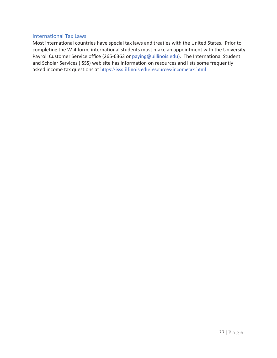### International Tax Laws

Most international countries have special tax laws and treaties with the United States. Prior to completing the W-4 form, international students must make an appointment with the University Payroll Customer Service office (265-6363 or paying@uillinois.edu). The International Student and Scholar Services (ISSS) web site has information on resources and lists some frequently asked income tax questions at https://isss.illinois.edu/resources/incometax.html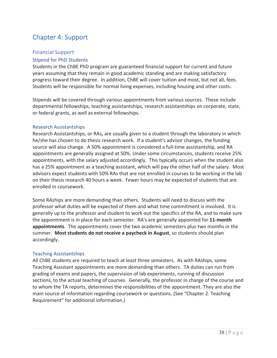# Chapter 4: Support

### Financial Support

### Stipend for PhD Students

Students in the ChBE PhD program are guaranteed financial support for current and future years assuming that they remain in good academic standing and are making satisfactory progress toward their degree. In addition, ChBE will cover tuition and most, but not all, fees. Students will be responsible for normal living expenses, including housing and other costs.

Stipends will be covered through various appointments from various sources. These include departmental fellowships, teaching assistantships, research assistantships on corporate, state, or federal grants, as well as external fellowships.

### Research Assistantships

Research Assistantships, or RAs**,** are usually given to a student through the laboratory in which he/she has chosen to do thesis research work. If a student's advisor changes, the funding source will also change. A 50% appointment is considered a full-time assistantship, and RA appointments are generally assigned at 50%. Under some circumstances, students receive 25% appointments, with the salary adjusted accordingly. This typically occurs when the student also has a 25% appointment as a teaching assistant, which will pay the other half of the salary. Most advisors expect students with 50% RAs that are not enrolled in courses to be working in the lab on their thesis research 40 hours a week. Fewer hours may be expected of students that are enrolled in coursework.

Some RAships are more demanding than others. Students will need to discuss with the professor what duties will be expected of them and what time commitment is involved. It is generally up to the professor and student to work out the specifics of the RA, and to make sure the appointment is in place for each semester.RA's are generally appointed for **11Ͳmonth appointments**. The appointments cover the two academic semesters plus two months in the summer.**Most students do not receive a paycheck in August**, so students should plan accordingly.

### Teaching Assistantships

All ChBE students are required to teach at least three semesters. As with RAships, some Teaching Assistant appointments are more demanding than others.TA duties can run from grading of exams and papers, the supervision of lab experiments, running of discussion sections, to the actual teaching of courses. Generally, the professor in charge of the course and to whom the TA reports, determines the responsibilities of the appointment. They are also the main source of information regarding coursework or questions. (See "Chapter 2. Teaching Requirement" for additional information.)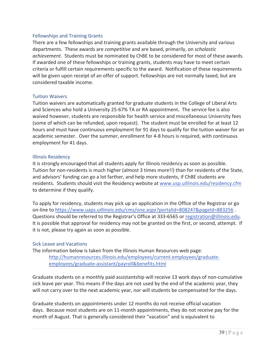### Fellowships and Training Grants

There are a few fellowships and training grants available through the University and various departments.These awards are *competitive* and are based, primarily, on *scholastic* achievement. Students must be nominated by ChBE to be considered for most of these awards. If awarded one of these fellowships or training grants, students may have to meet certain criteria or fulfill certain requirements specific to the award. Notification of these requirements will be given upon receipt of an offer of support. Fellowships are not normally taxed, but are considered taxable income.

### Tuition Waivers

Tuition waivers are automatically granted for graduate students in the College of Liberal Arts and Sciences who hold a University 25-67% TA or RA appointment. The service fee is also waived however, students are responsible for health service and miscellaneous University fees (some of which can be refunded, upon request). The student must be enrolled for at least 12 hours and must have continuous employment for 91 days to qualify for the tuition waiver for an academic semester. Over the summer, enrollment for 4-8 hours is required, with continuous employment for 41 days.

### Illinois Residency

It is strongly encouraged that all students apply for Illinois residency as soon as possible. Tuition for non-residents is much higher (almost 3 times more!!) than for residents of the State, and advisors' funding can go a lot farther, and help more students, if ChBE students are residents. Students should visit the Residency website at www.usp.uillinois.edu/residency.cfm to determine if they qualify.

To apply for residency, students may pick up an application in the Office of the Registrar or go on-line to https://www.uaps.uillinois.edu/cms/one.aspx?portalId=808247&pageId=883256. Questions should be referred to the Registrar's Office at 333-6565 or registration@illinois.edu. It is possible that approval for residency may not be granted on the first, or second, attempt. If it is not, please try again as soon as possible.

### Sick Leave and Vacations

The information below is taken from the Illinois Human Resources web page:

http://humanresources.illinois.edu/employees/current-employees/graduateemployees/graduate-assistant/payroll&benefits.html

Graduate students on a monthly paid assistantship will receive 13 work days of non-cumulative sick leave per year. This means if the days are not used by the end of the academic year, they will not carry over to the next academic year, nor will students be compensated for the days.

Graduate students on appointments under 12 months do not receive official vacation days. Because most students are on 11-month appointments, they do not receive pay for the month of August. That is generally considered their "vacation" and is equivalent to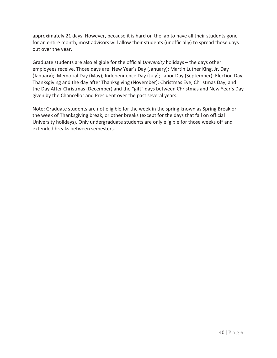approximately 21 days. However, because it is hard on the lab to have all their students gone for an entire month, most advisors will allow their students (unofficially) to spread those days out over the year.

Graduate students are also eligible for the official *University* holidays – the days other employees receive. Those days are: New Year's Day (January); Martin Luther King, Jr. Day (January); Memorial Day (May); Independence Day (July); Labor Day (September); Election Day, Thanksgiving and the day after Thanksgiving (November); Christmas Eve, Christmas Day, and the Day After Christmas (December) and the "gift" days between Christmas and New Year's Day given by the Chancellor and President over the past several years.

Note: Graduate students are not eligible for the week in the spring known as Spring Break or the week of Thanksgiving break, or other breaks (except for the days that fall on official University holidays). Only undergraduate students are only eligible for those weeks off and extended breaks between semesters.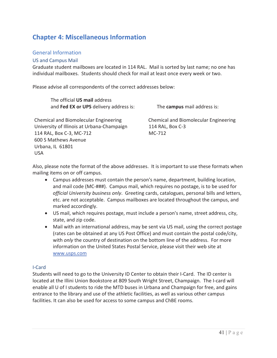# **Chapter 4: Miscellaneous Information**

### General Information

### US and Campus Mail

Graduate student mailboxes are located in 114 RAL. Mail is sorted by last name; no one has individual mailboxes. Students should check for mail at least once every week or two.

Please advise all correspondents of the correct addresses below:

The official **US mail** address and **Fed EX or UPS** delivery address is:

The **campus** mail address is:

Chemical and Biomolecular Engineering University of Illinois at Urbana-Champaign 114 RAL, Box C-3, MC-712 600 S Mathews Avenue Urbana, IL 61801 USA

Chemical and Biomolecular Engineering 114 RAL, Box C-3 MC-712

Also, please note the format of the above addresses. It is important to use these formats when mailing items on or off campus.

- Campus addresses must contain the person's name, department, building location, and mail code (MC-###). Campus mail, which requires no postage, is to be used for *official University business only*.Greeting cards, catalogues, personal bills and letters, etc. are not acceptable. Campus mailboxes are located throughout the campus, and marked accordingly.
- US mail, which requires postage, must include a person's name, street address, city, state, and zip code.
- Mail with an international address, may be sent via US mail, using the correct postage (rates can be obtained at any US Post Office) and must contain the postal code/city, with *only* the country of destination on the bottom line of the address. For more information on the United States Postal Service, please visit their web site at www.usps.com

### I-Card

Students will need to go to the University ID Center to obtain their I-Card. The ID center is located at the Illini Union Bookstore at 809 South Wright Street, Champaign. The I-card will enable all U of I students to ride the MTD buses in Urbana and Champaign for free, and gains entrance to the library and use of the athletic facilities, as well as various other campus facilities. It can also be used for access to some campus and ChBE rooms.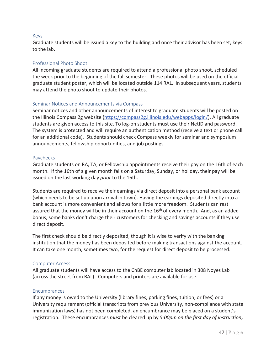### Keys

Graduate students will be issued a key to the building and once their advisor has been set, keys to the lab.

### Professional Photo Shoot

All incoming graduate students are required to attend a professional photo shoot, scheduled the week prior to the beginning of the fall semester. These photos will be used on the official graduate student poster, which will be located outside 114 RAL. In subsequent years, students may attend the photo shoot to update their photos.

### Seminar Notices and Announcements via Compass

Seminar notices and other announcements of interest to graduate students will be posted on the Illinois Compass 2g website (https://compass2g.illinois.edu/webapps/login/). All graduate students are given access to this site. To log-on students must use their NetID and password. The system is protected and will require an authentication method (receive a text or phone call for an additional code). Students should check Compass weekly for seminar and symposium announcements, fellowship opportunities, and job postings.

### Paychecks

Graduate students on RA, TA, or Fellowship appointments receive their pay on the 16th of each month. If the 16th of a given month falls on a Saturday, Sunday, or holiday, their pay will be issued on the last working day *prior* to the 16th.

Students are required to receive their earnings via direct deposit into a personal bank account (which needs to be set up upon arrival in town). Having the earnings deposited directly into a bank account is more convenient and allows for a little more freedom. Students can rest assured that the money will be in their account on the  $16<sup>th</sup>$  of every month. And, as an added bonus, some banks don't charge their customers for checking and savings accounts if they use direct deposit.

The first check should be directly deposited, though it is wise to verify with the banking institution that the money has been deposited before making transactions against the account. It can take one month, sometimes two, for the request for direct deposit to be processed.

### Computer Access

All graduate students will have access to the ChBE computer lab located in 308 Noyes Lab (across the street from RAL). Computers and printers are available for use.

### Encumbrances

If any money is owed to the University (library fines, parking fines, tuition, or fees) or a University requirement (official transcripts from previous University, non-compliance with state immunization laws) has not been completed, an encumbrance may be placed on a student's registration.These encumbrances *must* be cleared up by *5:00pm on the first day of instruction***,**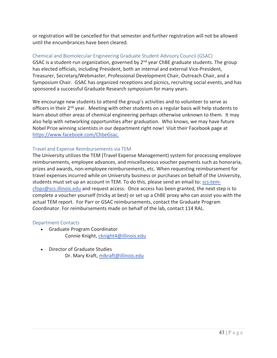or registration will be cancelled for that semester and further registration will not be allowed until the encumbrances have been cleared.

### Chemical and Biomolecular Engineering Graduate Student Advisory Council (GSAC)

GSAC is a student-run organization, governed by 2<sup>nd</sup> year ChBE graduate students. The group has elected officials, including President, both an internal and external Vice-President, Treasurer, Secretary/Webmaster, Professional Development Chair, Outreach Chair, and a Symposium Chair. GSAC has organized receptions and picnics, recruiting social events, and has sponsored a successful Graduate Research symposium for many years.

We encourage new students to attend the group's activities and to volunteer to serve as officers in their 2<sup>nd</sup> year. Meeting with other students on a regular basis will help students to learn about other areas of chemical engineering perhaps otherwise unknown to them. It may also help with networking opportunities after graduation.Who knows, we may have future Nobel Prize winning scientists in our department right now! Visit their Facebook page at https://www.facebook.com/ChbeGsac.

### Travel and Expense Reimbursements via TEM

The University utilizes the TEM (Travel Expense Management) system for processing employee reimbursements, employee advances, and miscellaneous voucher payments such as honoraria, prizes and awards, non-employee reimbursements, etc. When requesting reimbursement for travel expenses incurred while on University business or purchases on behalf of the University, students must set up an account in TEM. To do this, please send an email to: scs-temcfops@scs.illinois.edu and request access. Once access has been granted, the next step is to complete a voucher yourself (tricky at best) or set up a ChBE proxy who can assist you with the actual TEM report. For Parr or GSAC reimbursements, contact the Graduate Program Coordinator. For reimbursements made on behalf of the lab, contact 114 RAL.

### Department Contacts

- Graduate Program Coordinator Connie Knight, cknight4@illinois.edu
- Director of Graduate Studies Dr. Mary Kraft, mlkraft@illinois.edu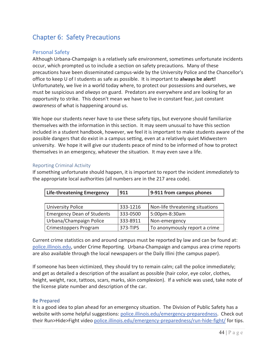# Chapter 6: Safety Precautions

### Personal Safety

Although Urbana-Champaign is a relatively safe environment, sometimes unfortunate incidents occur, which prompted us to include a section on safety precautions.Many of these precautions have been disseminated campus-wide by the University Police and the Chancellor's office to keep U of I students as safe as possible.It is important to **always be alert!** Unfortunately, we live in a world today where, to protect our possessions and ourselves, we must be suspicious and *always* on guard. Predators are everywhere and are looking for an opportunity to strike. This doesn't mean we have to live in constant fear, just constant *awareness* of what is happening around us.

We hope our students never have to use these safety tips, but everyone should familiarize themselves with the information in this section. It may seem unusual to have this section included in a student handbook, however, we feel it is important to make students aware of the possible dangers that do exist in a campus setting, even at a relatively quiet Midwestern university.We hope it will give our students peace of mind to be informed of how to protect themselves in an emergency, whatever the situation. It may even save a life.

### Reporting Criminal Activity

If something unfortunate should happen, it is important to report the incident *immediately* to the appropriate local authorities (all numbers are in the 217 area code).

| <b>Life-threatening Emergency</b> | 911      | 9-911 from campus phones        |  |
|-----------------------------------|----------|---------------------------------|--|
|                                   |          |                                 |  |
| <b>University Police</b>          | 333-1216 | Non-life threatening situations |  |
| <b>Emergency Dean of Students</b> | 333-0500 | 5:00pm-8:30am                   |  |
| Urbana/Champaign Police           | 333-8911 | Non-emergency                   |  |
| Crimestoppers Program             | 373-TIPS | To anonymously report a crime   |  |

Current crime statistics on and around campus must be reported by law and can be found at: police.illinois.edu, under Crime Reporting. Urbana-Champaign and campus area crime reports are also available through the local newspapers or the Daily Illini (the campus paper).

If someone has been victimized, they should try to remain calm; call the police immediately; and get as detailed a description of the assailant as possible (hair color, eye color, clothes, height, weight, race, tattoos, scars, marks, skin complexion). If a vehicle was used, take note of the license plate number and description of the car.

### Be Prepared

It is a good idea to plan ahead for an emergency situation.The Division of Public Safety has a website with some helpful suggestions: police.illinois.edu/emergency-preparedness. Check out their Run>Hide>Fight video police.illinois.edu/emergency-preparedness/run-hide-fight/ for tips.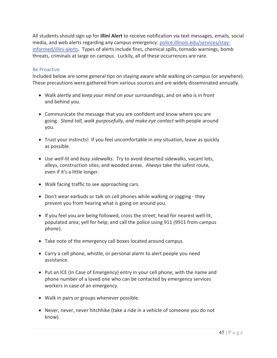All students should sign up for **Illini Alert** to receive notification via text messages, emails, social media, and web alerts regarding any campus emergency: police.illinois.edu/services/stayinformed/illini-alerts. Types of alerts include fires, chemical spills, tornado warnings, bomb threats, criminals at large on campus.Luckily, all of these occurrences are rare.

### Be Proactive

Included below are some general tips on staying aware while walking on campus (or anywhere). These precautions were gathered from various sources and are widely disseminated annually.

- x Walk alertly and *keep your mind on your surroundings*, and on who is in front and behind you.
- Communicate the message that you are confident and know where you are going.*Stand tall, walk purposefully, and make eye contact* with people around you.
- Trust your instincts! If you feel uncomfortable in *any* situation, leave as quickly as possible.
- Use *well-lit* and *busy sidewalks*. Try to avoid deserted sidewalks, vacant lots, alleys, construction sites, and wooded areas.*Always* take the safest route, even if it's a little longer.
- Walk facing traffic to see approaching cars.
- Don't wear earbuds or talk on cell phones while walking or jogging they prevent you from hearing what is going on around you.
- If you feel you are being followed, cross the street; head for nearest well-lit, populated area; yell for help; and call the police using 911 (9911 from campus phone).
- Take note of the emergency call boxes located around campus.
- Carry a cell phone, whistle, or personal alarm to alert people you need assistance.
- Put an ICE (In Case of Emergency) entry in your cell phone, with the name and phone number of a loved one who can be contacted by emergency services workers in case of an emergency.
- Walk in pairs or groups whenever possible.
- Never, never, never hitchhike (take a ride in a vehicle of someone you do not know).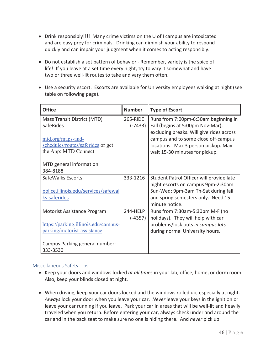- Drink responsibly!!!! Many crime victims on the U of I campus are intoxicated and are easy prey for criminals. Drinking can diminish your ability to respond quickly and can impair your judgment when it comes to acting responsibly.
- Do not establish a set pattern of behavior Remember, variety is the spice of life! If you leave at a set time every night, try to vary it somewhat and have two or three well-lit routes to take and vary them often.
- Use a security escort. Escorts are available for University employees walking at night (see table on following page).

| <b>Office</b>                        | <b>Number</b> | <b>Type of Escort</b>                    |
|--------------------------------------|---------------|------------------------------------------|
| Mass Transit District (MTD)          | 265-RIDE      | Runs from 7:00pm-6:30am beginning in     |
| SafeRides                            | $(-7433)$     | Fall (begins at 5:00pm Nov-Mar),         |
|                                      |               | excluding breaks. Will give rides across |
| mtd.org/maps-and-                    |               | campus and to some close off-campus      |
| schedules/routes/saferides or get    |               | locations. Max 3 person pickup. May      |
| the App: MTD Connect                 |               | wait 15-30 minutes for pickup.           |
|                                      |               |                                          |
| MTD general information:             |               |                                          |
| 384-8188                             |               |                                          |
| SafeWalks Escorts                    | 333-1216      | Student Patrol Officer will provide late |
|                                      |               | night escorts on campus 9pm-2:30am       |
| police.illinois.edu/services/safewal |               | Sun-Wed; 9pm-3am Th-Sat during fall      |
| ks-saferides                         |               | and spring semesters only. Need 15       |
|                                      |               | minute notice.                           |
| Motorist Assistance Program          | 244-HFIP      | Runs from 7:30am-5:30pm M-F (no          |
|                                      | $(-4357)$     | holidays). They will help with car       |
| https://parking.illinois.edu/campus- |               | problems/lock outs in campus lots        |
| parking/motorist-assistance          |               | during normal University hours.          |
|                                      |               |                                          |
| Campus Parking general number:       |               |                                          |
| 333-3530                             |               |                                          |

### Miscellaneous Safety Tips

- x Keep your doors and windows locked *at all times* in your lab, office, home, or dorm room. Also, keep your blinds closed at night.
- When driving, keep your car doors locked and the windows rolled up, especially at night. *Always* lock your door when you leave your car.*Never* leave your keys in the ignition or leave your car running if you leave. Park your car in areas that will be well-lit and heavily traveled when you return. Before entering your car, always check under and around the car and in the back seat to make sure no one is hiding there.And *never* pick up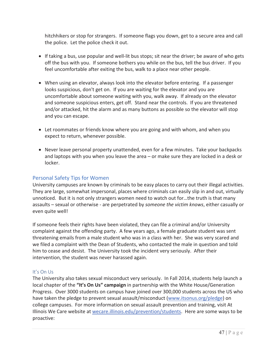hitchhikers or stop for strangers. If someone flags you down, get to a secure area and call the police. Let the police check it out.

- If taking a bus, use popular and well-lit bus stops; sit near the driver; be aware of who gets off the bus with you. If someone bothers you while on the bus, tell the bus driver. If you feel uncomfortable after exiting the bus, walk to a place near other people.
- When using an elevator, always look into the elevator before entering. If a passenger looks suspicious, don't get on. If you are waiting for the elevator and you are uncomfortable about someone waiting with you, walk away.If already on the elevator and someone suspicious enters, get off. Stand near the controls. If you are threatened and/or attacked, hit the alarm and as many buttons as possible so the elevator will stop and you can escape.
- Let roommates or friends know where you are going and with whom, and when you expect to return, whenever possible.
- Never leave personal property unattended, even for a few minutes. Take your backpacks and laptops with you when you leave the area – or make sure they are locked in a desk or locker.

### Personal Safety Tips for Women

University campuses are known by criminals to be easy places to carry out their illegal activities. They are large, somewhat impersonal, places where criminals can easily slip in and out, virtually unnoticed. But it is not only strangers women need to watch out for...the truth is that many assaults – sexual or otherwise - are perpetrated by *someone the victim knows*, either casually or even quite well!

If someone feels their rights have been violated, they can file a criminal and/or University complaint against the offending party. A few years ago, a female graduate student was sent threatening emails from a male student who was in a class with her. She was very scared and we filed a complaint with the Dean of Students, who contacted the male in question and told him to cease and desist. The University took the incident very seriously. After their intervention, the student was never harassed again.

### It's On Us

The University also takes sexual misconduct very seriously. In Fall 2014, students help launch a local chapter of the **"It's On Us" campaign** in partnership with the White House/Generation Progress.Over 3000 students on campus have joined over 300,000 students across the US who have taken the pledge to prevent sexual assault/misconduct (www.itsonus.org/pledge) on college campuses. For more information on sexual assault prevention and training, visit At Illinois We Care website at wecare.illinois.edu/prevention/students. Here are some ways to be proactive: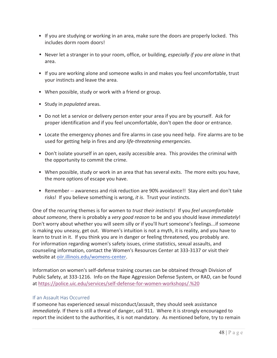- If you are studying or working in an area, make sure the doors are properly locked. This includes dorm room doors!
- Never let a stranger in to your room, office, or building, *especially if you are alone* in that area.
- If you are working alone and someone walks in and makes you feel uncomfortable, trust your instincts and leave the area.
- When possible, study or work with a friend or group.
- Study in *populated* areas.
- Do not let a service or delivery person enter your area if you are by yourself. Ask for proper identification and if you feel uncomfortable, don't open the door or entrance.
- Locate the emergency phones and fire alarms in case you need help. Fire alarms are to be used for getting help in fires and *any lifeͲthreatening emergencies*.
- Don't isolate yourself in an open, easily accessible area. This provides the criminal with the opportunity to commit the crime.
- When possible, study or work in an area that has several exits. The more exits you have, the more options of escape you have.
- Remember -- awareness and risk reduction are 90% avoidance!! Stay alert and don't take risks! If you believe something is wrong, *it is*. Trust your instincts.

One of the recurring themes is for women to *trust their instincts*!If you *feel uncomfortable about someone,* there is probably a *very good reason* to be and you should leave *immediately*! Don't worry about whether you will seem silly or if you'll hurt someone's feelings...if someone is making you uneasy, get out. Women's intuition is not a myth, it is reality, and you have to learn to trust in it. If you think you are in danger or feeling threatened, you probably are. For information regarding women's safety issues, crime statistics, sexual assaults, and counseling information, contact the Women's Resources Center at 333-3137 or visit their website at oiir.illinois.edu/womens-center.

Information on women's self-defense training courses can be obtained through Division of Public Safety, at 333-1216. Info on the Rape Aggression Defense System, or RAD, can be found at https://police.uic.edu/services/self-defense-for-women-workshops/.%20

### If an Assault Has Occurred

If someone has experienced sexual misconduct/assault, they should seek assistance *immediately.* If there is still a threat of danger, call 911. Where it is strongly encouraged to report the incident to the authorities, it is not mandatory. As mentioned before, try to remain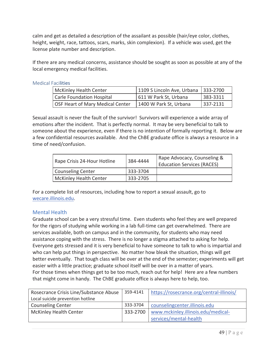calm and get as detailed a description of the assailant as possible (hair/eye color, clothes, height, weight, race, tattoos, scars, marks, skin complexion). If a vehicle was used, get the license plate number and description.

If there are any medical concerns, assistance should be sought as soon as possible at any of the local emergency medical facilities.

### Medical Facilities

| <b>McKinley Health Center</b>    | 1109 S Lincoln Ave, Urbana   333-2700 |          |
|----------------------------------|---------------------------------------|----------|
| <b>Carle Foundation Hospital</b> | 611 W Park St, Urbana                 | 383-3311 |
| OSF Heart of Mary Medical Center | 1400 W Park St, Urbana                | 337-2131 |

Sexual assault is never the fault of the survivor! Survivors will experience a wide array of emotions after the incident. That is perfectly normal. It may be very beneficial to talk to someone about the experience, even if there is no intention of formally reporting it. Below are a few confidential resources available. And the ChBE graduate office is always a resource in a time of need/confusion.

| Rape Crisis 24-Hour Hotline | 384-4444 | Rape Advocacy, Counseling &<br><b>Education Services (RACES)</b> |
|-----------------------------|----------|------------------------------------------------------------------|
| Counseling Center           | 333-3704 |                                                                  |
| McKinley Health Center      | 333-2705 |                                                                  |

For a complete list of resources, including how to report a sexual assault, go to wecare.illinois.edu.

### Mental Health

Graduate school can be a very stressful time. Even students who feel they are well prepared for the rigors of studying while working in a lab full-time can get overwhelmed. There are services available, both on campus and in the community, for students who may need assistance coping with the stress. There is no longer a stigma attached to asking for help. Everyone gets stressed and it is very beneficial to have someone to talk to who is impartial and who can help put things in perspective. No matter how bleak the situation, things will get better eventually. That tough class will be over at the end of the semester; experiments will get easier with a little practice; graduate school itself will be over in a matter of years. For those times when things get to be too much, reach out for help! Here are a few numbers that might come in handy. The ChBE graduate office is always here to help, too.

| Rosecrance Crisis Line/Substance Abuse | 359-4141 | https://rosecrance.org/central-illinois/ |
|----------------------------------------|----------|------------------------------------------|
| Local suicide prevention hotline       |          |                                          |
| <b>Counseling Center</b>               | 333-3704 | counselingcenter.illinois.edu            |
| <b>McKinley Health Center</b>          | 333-2700 | www.mckinley.illinois.edu/medical-       |
|                                        |          | services/mental-health                   |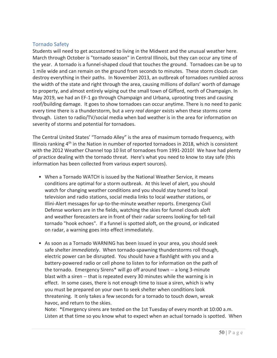### Tornado Safety

Students will need to get accustomed to living in the Midwest and the unusual weather here. March through October is "tornado season" in Central Illinois, but they can occur any time of the year. A tornado is a funnel-shaped cloud that touches the ground. Tornadoes can be up to 1 mile wide and can remain on the ground from seconds to minutes.These storm clouds can destroy everything in their paths. In November 2013, an outbreak of tornadoes rumbled across the width of the state and right through the area, causing millions of dollars' worth of damage to property, and almost entirely wiping out the small town of Gifford, north of Champaign. In May 2019, we had an EF-1 go through Champaign and Urbana, uprooting trees and causing roof/building damage. It goes to show tornadoes can occur anytime. There is no need to panic every time there is a thunderstorm, but a *very real danger* exists when these storms come through. Listen to radio/TV/social media when bad weather is in the area for information on severity of storms and potential for tornadoes.

The Central United States' "Tornado Alley" is the area of maximum tornado frequency, with Illinois ranking  $4<sup>th</sup>$  in the Nation in number of reported tornadoes in 2018, which is consistent with the 2012 Weather Channel top 10 list of tornadoes from 1991-2010! We have had plenty of practice dealing with the tornado threat. Here's what you need to know to stay safe (this information has been collected from various expert sources).

- When a Tornado WATCH is issued by the National Weather Service, it means conditions are optimal for a storm outbreak. At this level of alert, you should watch for changing weather conditions and you should stay tuned to local television and radio stations, social media links to local weather stations, or Illini-Alert messages for up-to-the-minute weather reports. Emergency Civil Defense workers are in the fields, watching the skies for funnel clouds aloft and weather forecasters are in front of their radar screens looking for tell-tail tornado "hook echoes". If a funnel is spotted aloft, on the ground, or indicated on radar, a warning goes into effect immediately.
- As soon as a Tornado WARNING has been issued in your area, you should seek safe shelter *immediately*. When tornado-spawning thunderstorms roll though, electric power can be disrupted. You should have a flashlight with you and a battery-powered radio or cell phone to listen to for information on the path of the tornado. Emergency Sirens\* will go off around town -- a long 3-minute blast with a siren -- that is repeated every 30 minutes while the warning is in effect. In some cases, there is not enough time to issue a siren, which is why you must be prepared on your own to seek shelter when conditions look threatening. It only takes a few seconds for a tornado to touch down, wreak havoc, and return to the skies.

Note:\*Emergency sirens are tested on the 1st Tuesday of every month at 10:00 a.m. Listen at that time so you know what to expect when an actual tornado is spotted. When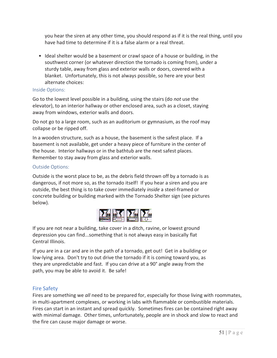you hear the siren at any other time, you should respond as if it is the real thing, until you have had time to determine if it is a false alarm or a real threat.

• Ideal shelter would be a basement or crawl space of a house or building, in the southwest corner (or whatever direction the tornado is coming from), under a sturdy table, away from glass and exterior walls or doors, covered with a blanket. Unfortunately, this is not always possible, so here are your best alternate choices:

### Inside Options:

Go to the lowest level possible in a building, using the stairs (do *not* use the elevator), to an interior hallway or other enclosed area, such as a closet, staying away from windows, exterior walls and doors.

Do not go to a large room, such as an auditorium or gymnasium, as the roof may collapse or be ripped off.

In a wooden structure, such as a house, the basement is the safest place. If a basement is not available, get under a heavy piece of furniture in the center of the house. Interior hallways or in the bathtub are the next safest places. Remember to stay away from glass and exterior walls.

### Outside Options:

Outside is the worst place to be, as the debris field thrown off by a tornado is as dangerous, if not more so, as the tornado itself! If you hear a siren and you are outside, the best thing is to take cover immediately *inside* a steel-framed or concrete building or building marked with the Tornado Shelter sign (see pictures below).



If you are not near a building, take cover in a ditch, ravine, or lowest ground depression you can find...something that is not always easy in basically flat Central Illinois.

If you are in a car and are in the path of a tornado, get out! Get in a building or low-lying area. Don't try to out drive the tornado if it is coming toward you, as they are unpredictable and fast. If you can drive at a 90° angle away from the path, you may be able to avoid it. Be safe!

### Fire Safety

Fires are something we *all* need to be prepared for, especially for those living with roommates, in multi-apartment complexes, or working in labs with flammable or combustible materials. Fires can start in an instant and spread quickly. Sometimes fires can be contained right away with minimal damage. Other times, unfortunately, people are in shock and slow to react and the fire can cause major damage or worse.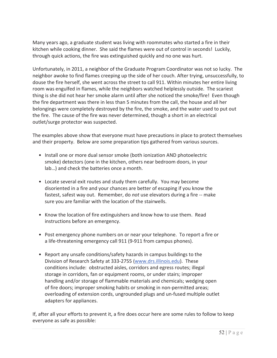Many years ago, a graduate student was living with roommates who started a fire in their kitchen while cooking dinner. She said the flames were out of control in seconds! Luckily, through quick actions, the fire was extinguished quickly and no one was hurt.

Unfortunately, in 2011, a neighbor of the Graduate Program Coordinator was not so lucky. The neighbor awoke to find flames creeping up the side of her couch. After trying, unsuccessfully, to douse the fire herself, she went across the street to call 911. Within minutes her entire living room was engulfed in flames, while the neighbors watched helplessly outside. The scariest thing is she did not hear her smoke alarm until after she noticed the smoke/fire! Even though the fire department was there in less than 5 minutes from the call, the house and all her belongings were completely destroyed by the fire, the smoke, and the water used to put out the fire. The cause of the fire was never determined, though a short in an electrical outlet/surge protector was suspected.

The examples above show that everyone must have precautions in place to protect themselves and their property. Below are some preparation tips gathered from various sources.

- Install one or more dual sensor smoke (both ionization AND photoelectric smoke) detectors (one in the kitchen, others near bedroom doors, in your lab…) and check the batteries once a month.
- Locate several exit routes and study them carefully. You may become disoriented in a fire and your chances are better of escaping if you know the fastest, safest way out. Remember, do *not* use elevators during a fire -- make sure you are familiar with the location of the stairwells.
- Know the location of fire extinguishers and know how to use them. Read instructions before an emergency.
- Post emergency phone numbers on or near your telephone. To report a fire or a life-threatening emergency call 911 (9-911 from campus phones).
- Report any unsafe conditions/safety hazards in campus buildings to the Division of Research Safety at 333-2755 (www.drs.illinois.edu). These conditions include: obstructed aisles, corridors and egress routes; illegal storage in corridors, fan or equipment rooms, or under stairs; improper handling and/or storage of flammable materials and chemicals; wedging open of fire doors; improper smoking habits or smoking in non-permitted areas; overloading of extension cords, ungrounded plugs and un-fused multiple outlet adapters for appliances.

If, after all your efforts to prevent it, a fire does occur here are some rules to follow to keep everyone as safe as possible: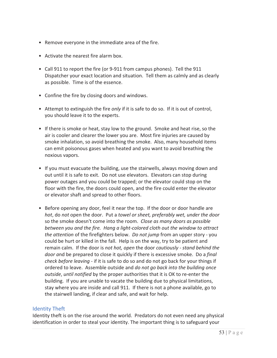- Remove everyone in the immediate area of the fire.
- Activate the nearest fire alarm box.
- Call 911 to report the fire (or 9-911 from campus phones). Tell the 911 Dispatcher your exact location and situation. Tell them as calmly and as clearly as possible. Time is of the essence.
- Confine the fire by closing doors and windows.
- Attempt to extinguish the fire *only* if it is safe to do so. If it is out of control, you should leave it to the experts.
- If there is smoke or heat, stay low to the ground. Smoke and heat rise, so the air is cooler and clearer the lower you are. Most fire injuries are caused by smoke inhalation, so avoid breathing the smoke. Also, many household items can emit poisonous gases when heated and you want to avoid breathing the noxious vapors.
- If you must evacuate the building, use the stairwells, always moving down and out until it is safe to exit. Do not use elevators. Elevators can stop during power outages and you could be trapped; or the elevator could stop on the floor with the fire, the doors could open, and the fire could enter the elevator or elevator shaft and spread to other floors.
- Before opening any door, feel it near the top. If the door or door handle are *hot*, do *not* open the door.Put a *towel or sheet, preferably wet, under the door* so the smoke doesn't come into the room.*Close as many doors as possible between you and the fire.Hang a lightͲcolored cloth out the window to attract the attention* of the firefighters below. *Do not jump* from an upper story - you could be hurt or killed in the fall. Help is on the way, try to be patient and remain calm.If the door is *not hot, open* the door *cautiouslyͲstand behind the door a*nd be prepared to close it quickly if there is excessive smoke.Do a *final check before leaving* - if it is safe to do so and do not go back for your things if ordered to leave.Assemble outside and *do not go back into the building once outside, until notified* by the proper authorities that it is OK to re-enter the building. If you are unable to vacate the building due to physical limitations, stay where you are inside and call 911. If there is not a phone available, go to the stairwell landing, if clear and safe, and wait for help.

### Identity Theft

Identity theft is on the rise around the world. Predators do not even need any physical identification in order to steal your identity. The important thing is to safeguard your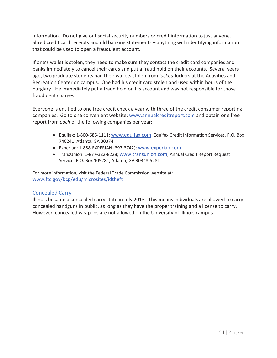information. Do not give out social security numbers or credit information to just anyone. Shred credit card receipts and old banking statements – anything with identifying information that could be used to open a fraudulent account.

If one's wallet is stolen, they need to make sure they contact the credit card companies and banks immediately to cancel their cards and put a fraud hold on their accounts. Several years ago, two graduate students had their wallets stolen from *locked* lockers at the Activities and Recreation Center on campus. One had his credit card stolen and used within hours of the burglary! He immediately put a fraud hold on his account and was not responsible for those fraudulent charges.

Everyone is entitled to one free credit check a year with three of the credit consumer reporting companies.Go to one convenient website: www.annualcreditreport.com and obtain one free report from *each* of the following companies per year:

- Equifax: 1-800-685-1111; www.equifax.com; Equifax Credit Information Services, P.O. Box 740241, Atlanta, GA 30374
- Experian: 1-888-EXPERIAN (397-3742); www.experian.com
- TransUnion: 1-877-322-8228; www.transunion.com; Annual Credit Report Request Service, P.O. Box 105281, Atlanta, GA 30348-5281

For more information, visit the Federal Trade Commission website at: www.ftc.gov/bcp/edu/microsites/idtheft

### Concealed Carry

Illinois became a concealed carry state in July 2013. This means individuals are allowed to carry concealed handguns in public, as long as they have the proper training and a license to carry. However, concealed weapons are not allowed on the University of Illinois campus.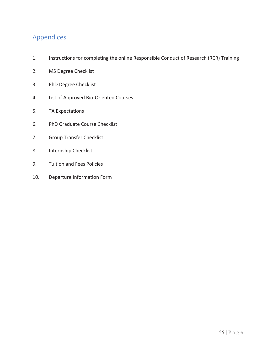# Appendices

- 1. Instructions for completing the online Responsible Conduct of Research (RCR) Training
- 2. MS Degree Checklist
- 3. PhD Degree Checklist
- 4. List of Approved Bio-Oriented Courses
- 5. TA Expectations
- 6. PhD Graduate Course Checklist
- 7. Group Transfer Checklist
- 8. Internship Checklist
- 9. Tuition and Fees Policies
- 10. Departure Information Form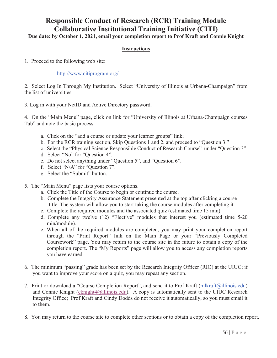# **Responsible Conduct of Research (RCR) Training Module Collaborative Institutional Training Initiative (CITI)**

**Due date: by October 1, 2021, email your completion report to Prof Kraft and Connie Knight** 

### **Instructions**

1. Proceed to the following web site:

### http://www.citiprogram.org/

2. Select Log In Through My Institution. Select "University of Illinois at Urbana-Champaign" from the list of universities.

3. Log in with your NetID and Active Directory password.

4. On the "Main Menu" page, click on link for "University of Illinois at Urbana-Champaign courses Tab" and note the basic process:

- a. Click on the "add a course or update your learner groups" link;
- b. For the RCR training section, Skip Questions 1 and 2, and proceed to "Question 3."
- c. Select the "Physical Science Responsible Conduct of Research Course" under "Question 3".
- d. Select "No" for "Question 4".
- e. Do not select anything under "Question 5", and "Question 6".
- f. Select "N/A" for "Question 7".
- g. Select the "Submit" button.
- 5. The "Main Menu" page lists your course options.
	- a. Click the Title of the Course to begin or continue the course.
	- b. Complete the Integrity Assurance Statement presented at the top after clicking a course title. The system will allow you to start taking the course modules after completing it.
	- c. Complete the required modules and the associated quiz (estimated time 15 min).
	- d. Complete any twelve (12) "Elective" modules that interest you (estimated time 5-20 min/module).
	- e. When all of the required modules are completed, you may print your completion report through the "Print Report" link on the Main Page or your "Previously Completed Coursework" page. You may return to the course site in the future to obtain a copy of the completion report. The "My Reports" page will allow you to access any completion reports you have earned.
- 6. The minimum "passing" grade has been set by the Research Integrity Officer (RIO) at the UIUC; if you want to improve your score on a quiz, you may repeat any section.
- 7. Print or download a "Course Completion Report", and send it to Prof Kraft (mlkraft@illinois.edu) and Connie Knight (cknight4@illinois.edu). A copy is automatically sent to the UIUC Research Integrity Office; Prof Kraft and Cindy Dodds do not receive it automatically, so you must email it to them.
- 8. You may return to the course site to complete other sections or to obtain a copy of the completion report.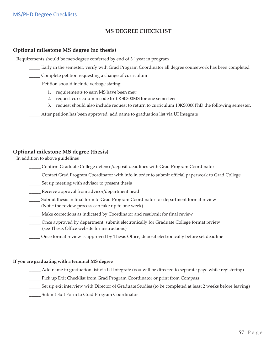### **MS DEGREE CHECKLIST**

### **Optional milestone MS degree (no thesis)**

Requirements should be met/degree conferred by end of 3rd year in program

- Early in the semester, verify with Grad Program Coordinator all degree coursework has been completed
- Complete petition requesting a change of curriculum

Petition should include verbage stating:

- 1. requirements to earn MS have been met;
- 2. request curriculum recode to10KS0300MS for one semester;
- 3. request should also include request to return to curriculum 10KS0300PhD the following semester.

ȱȱȱȱȱȱȱȱȱȱȱȱȱȱ\_\_\_\_\_ After petition has been approved, add name to graduation list via UI Integrate

### **Optional milestone MS degree (thesis)**

In addition to above guidelines

- \_\_\_\_\_ Confirm Graduate College defense/deposit deadlines with Grad Program Coordinator
- \_\_\_\_\_ Contact Grad Program Coordinator with info in order to submit official paperwork to Grad College
- \_\_\_\_\_ Set up meeting with advisor to present thesis
- \_\_\_\_\_ Receive approval from advisor/department head
- Submit thesis in final form to Grad Program Coordinator for department format review ȱȱȱȱȱȱȱȱȱȱȱȱȱȱȱȱȱȱȱȱȱȱȱȱȱ(Note: the review process can take up to one week)
- \_\_\_\_\_ Make corrections as indicated by Coordinator and resubmit for final review
- \_\_\_\_\_ Once approved by department, submit electronically for Graduate College format reviewȱȱ (see Thesis Office website for instructions)
- Once format review is approved by Thesis Office, deposit electronically before set deadline

#### **If you are graduating with a terminal MS degree**

- \_\_\_\_\_ Add name to graduation list via UI Integrate (you will be directed to separate page while registering)
- \_\_\_\_\_ Pick up Exit Checklist from Grad Program Coordinator or print from Compass
- \_\_\_\_\_ Set up exit interview with Director of Graduate Studies (to be completed at least 2 weeks before leaving)
- \_\_\_\_\_ Submit Exit Form to Grad Program Coordinator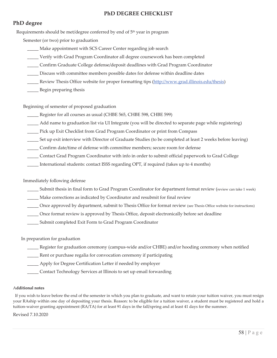### **PhD DEGREE CHECKLIST**

### **PhD degree**

Requirements should be met/degree conferred by end of 5<sup>th</sup> year in program

Semester (or two) prior to graduation

- Make appointment with SCS Career Center regarding job search
- \_\_\_\_\_ Verify with Grad Program Coordinator all degree coursework has been completed
- \_\_\_\_\_ Confirm Graduate College defense/deposit deadlines with Grad Program Coordinator
- \_\_\_\_\_ Discuss with committee members possible dates for defense within deadline dates
- Lackgaren Review Thesis Office website for proper formatting tips (http://www.grad.illinois.edu/thesis)
- \_\_\_\_\_ Begin preparing thesis

### Beginning of semester of proposed graduation

- \_\_\_\_\_ Register for all courses as usual (CHBE 565, CHBE 598, CHBE 599)
- \_\_\_\_\_ Add name to graduation list via UI Integrate (you will be directed to separate page while registering)
- \_\_\_\_\_ Pick up Exit Checklist from Grad Program Coordinator or print from Compass
- \_\_\_\_\_ Set up exit interview with Director of Graduate Studies (to be completed at least 2 weeks before leaving)
- \_\_\_\_\_ Confirm date/time of defense with committee members; secure room for defense
- \_\_\_\_\_ Contact Grad Program Coordinator with info in order to submit official paperwork to Grad College
- \_\_\_\_\_ International students: contact ISSS regarding OPT, if required (takes up to 4 months)

### Immediately following defense

- \_\_\_\_\_ Submit thesis in final form to Grad Program Coordinator for department format review (review can take 1 week)
- \_\_\_\_\_ Make corrections as indicated by Coordinator and resubmit for final review
- \_\_\_\_\_ Once approved by department, submit to Thesis Office for format review (see Thesis Office website for instructions)
- \_\_\_\_\_ Once format review is approved by Thesis Office, deposit electronically before set deadline
- \_\_\_\_\_ Submit completed Exit Form to Grad Program Coordinator

In preparation for graduation

\_\_\_\_\_ Register for graduation ceremony (campusȬwide and/or CHBE) and/or hooding ceremony when notified

Lackendorum Rent or purchase regalia for convocation ceremony if participating

\_\_\_\_\_ Apply for Degree Certification Letter if needed by employer

\_\_\_\_\_ Contact Technology Services at Illinois to set up email forwarding

### A**dditional notes**

If you wish to leave before the end of the semester in which you plan to graduate, and want to retain your tuition waiver, you must resign your RAship within one day of depositing your thesis. Reason: to be eligible for a tuition waiver, a student must be registered and hold a tuition-waiver granting appointment (RA/TA) for at least 91 days in the fall/spring and at least 41 days for the summer.

Revised 7.10.2020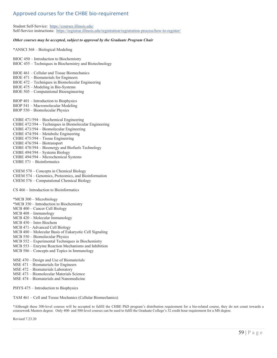### Approved courses for the CHBE bio-requirement

Student Self-Service:https://courses.illinois.edu/ Self-Service instructions: https://registrar.illinois.edu/registration/registration-process/how-to-register/

#### *Other courses may be accepted, subject to approval by the Graduate Program Chair*

\*ANSCI 368 – Biological Modeling

BIOC 450 – Introduction to Biochemistry BIOC 455 – Techniques in Biochemistry and Biotechnology BIOE 461 – Cellular and Tissue Biomechanics BIOE 471 – Biomaterials for Engineers BIOE 472 – Techniques in Biomolecular Engineering BIOE 475 – Modeling in Bio-Systems BIOE 505 – Computational Bioengineering BIOP 401 – Introduction to Biophysics BIOP 541 – Macromolecular Modeling BIOP 550 – Biomolecular Physics CHBE 471/594 – Biochemical Engineering CHBE 472/594 – Techniques in Biomolecular Engineering CHBE 473/594 – Biomolecular Engineering CHBE 474/594 – Metabolic Engineering CHBE 475/594 – Tissue Engineering CHBE 476/594 – Biotransport CHBE 478/594 – Bioenergy and Biofuels Technology CHBE 494/594 – Systems Biology CHBE 494/594 – Microchemical Systems CHBE 571 – Bioinformatics

CHEM 570 – Concepts in Chemical Biology CHEM 574 – Genomics, Proteomics, and Bioinformation CHEM 576 – Computational Chemical Biology

CS 466 – Introduction to Bioinformatics

\*MCB 300 – Microbiology \*MCB 350 – Introduction to Biochemistry MCB 400 – Cancer Cell Biology MCB 408 – Immunology MCB 420 – Molecular Immunology MCB 450 – Intro Biochem MCB 471– Advanced Cell Biology MCB 480 – Molecular Basis of Eukaryotic Cell Signaling

- MCB 550 Biomolecular Physics
- MCB 552 Experimental Techniques in Biochemistry
- MCB 553 Enzyme Reaction Mechanisms and Inhibition
- MCB 586 Concepts and Topics in Immunology

MSE 470 – Design and Use of Biomaterials

- MSE 471 Biomaterials for Engineers
- MSE 472 Biomaterials Laboratory

MSE 473 – Biomolecular Materials Science

MSE 474 – Biomaterials and Nanomedicine

PHYS 475 – Introduction to Biophysics

TAM 461 – Cell and Tissue Mechanics (Cellular Biomechanics)

\*Although these 300-level courses will be accepted to fulfill the CHBE PhD program's distribution requirement for a bio-related course, they do not count towards a coursework Masters degree. Only 400- and 500-level courses can be used to fulfil the Graduate College's 32 credit hour requirement for a MS degree.

Revised 7.23.20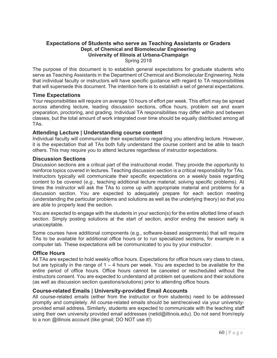### **Expectations of Students who serve as Teaching Assistants or Graders Dept. of Chemical and Biomolecular Engineering University of Illinois at Urbana-Champaign** Spring 2018

The purpose of this document is to establish general expectations for graduate students who serve as Teaching Assistants in the Department of Chemical and Biomolecular Engineering. Note that individual faculty or instructors will have specific guidance with regard to TA responsibilities that will supersede this document. The intention here is to establish a set of general expectations.

### **Time Expectations**

Your responsibilities will require on average 10 hours of effort per week. This effort may be spread across attending lecture, leading discussion sections, office hours, problem set and exam preparation, proctoring, and grading. Individual TA responsibilities may differ within and between classes, but the total amount of work integrated over time should be equally distributed among all TAs.

### **Attending Lecture | Understanding course content**

Individual faculty will communicate their expectations regarding you attending lecture. However, it is the expectation that all TAs both fully understand the course content and be able to teach others. This may require you to attend lectures regardless of instructor expectations.

### **Discussion Sections**

Discussion sections are a critical part of the instructional model. They provide the opportunity to reinforce topics covered in lectures. Teaching discussion section is a critical responsibility for TAs. Instructors typically will communicate their specific expectations on a weekly basis regarding content to be covered (*e.g.*, teaching additional lecture material; solving specific problems). At times the instructor will ask the TAs to come up with appropriate material and problems for a discussion section. You are expected to adequately prepare for each section meeting (understanding the particular problems and solutions as well as the underlying theory) so that you are able to properly lead the section.

You are expected to engage with the students in your section(s) for the entire allotted time of each section. Simply posting solutions at the start of section, and/or ending the session early is unacceptable.

Some courses have additional components (e.g., software-based assignments) that will require TAs to be available for additional office hours or to run specialized sections, for example in a computer lab. These expectations will be communicated to you by your instructor.

### **Office Hours**

All TAs are expected to hold weekly office hours. Expectations for office hours vary class to class, but are typically in the range of  $1 - 4$  hours per week. You are expected to be available for the entire period of office hours. Office hours cannot be canceled or rescheduled without the instructors consent. You are expected to understand all problem set questions and their solutions (as well as discussion section questions/solutions) prior to attending office hours.

### **Course-related Emails | University-provided Email Accounts**

All course-related emails (either from the instructor or from students) need to be addressed promptly and completely. All course-related emails should be sent/received via your universityprovided email address. Similarly, students are expected to communicate with the teaching staff using their own university provided email addresses (netid@illinois.edu). Do not send from/reply to a non @illinois account (like gmail; DO NOT use it!)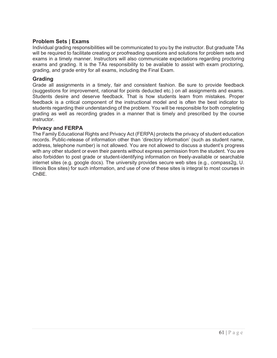### **Problem Sets | Exams**

Individual grading responsibilities will be communicated to you by the instructor. But graduate TAs will be required to facilitate creating or proofreading questions and solutions for problem sets and exams in a timely manner. Instructors will also communicate expectations regarding proctoring exams and grading. It is the TAs responsibility to be available to assist with exam proctoring, grading, and grade entry for all exams, including the Final Exam.

### **Grading**

Grade all assignments in a timely, fair and consistent fashion. Be sure to provide feedback (suggestions for improvement, rational for points deducted etc.) on all assignments and exams. Students desire and deserve feedback. That is how students learn from mistakes. Proper feedback is a critical component of the instructional model and is often the best indicator to students regarding their understanding of the problem. You will be responsible for both completing grading as well as recording grades in a manner that is timely and prescribed by the course instructor.

### **Privacy and FERPA**

The Family Educational Rights and Privacy Act (FERPA) protects the privacy of student education records. Public-release of information other than 'directory information' (such as student name, address, telephone number) is not allowed. You are not allowed to discuss a student's progress with any other student or even their parents without express permission from the student. You are also forbidden to post grade or student-identifying information on freely-available or searchable internet sites (e.g. google docs). The university provides secure web sites (e.g., compass2g, U. Illinois Box sites) for such information, and use of one of these sites is integral to most courses in ChBE.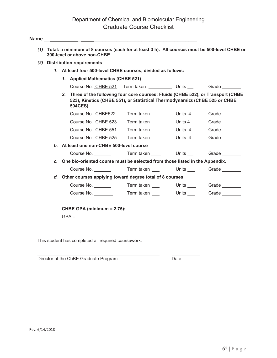# Department of Chemical and Biomolecular Engineering Graduate Course Checklist

|                | (2) Distribution requirements                                                                                                                                                      |                              |                |                            |
|----------------|------------------------------------------------------------------------------------------------------------------------------------------------------------------------------------|------------------------------|----------------|----------------------------|
|                | 1. At least four 500-level CHBE courses, divided as follows:                                                                                                                       |                              |                |                            |
|                | 1. Applied Mathematics (CHBE 521)                                                                                                                                                  |                              |                |                            |
|                | Course No. CHBE 521 Term taken _____________ Units _________ Grade _________                                                                                                       |                              |                |                            |
|                | 2. Three of the following four core courses: Fluids (CHBE 522), or Transport (CHBE<br>523), Kinetics (CHBE 551), or Statistical Thermodynamics (ChBE 525 or CHBE<br><b>594CES)</b> |                              |                |                            |
|                | Course No. CHBE522 Term taken                                                                                                                                                      |                              | Units 4        | Grade                      |
|                | Course No. CHBE 523                                                                                                                                                                | Term taken _____             | Units <u>4</u> | Grade                      |
|                | Course No. CHBE 551                                                                                                                                                                | Term taken _____             | Units <u>4</u> | Grade                      |
|                | Course No. CHBE 525                                                                                                                                                                | Term taken _______           |                |                            |
|                | b. At least one non-CHBE 500-level course                                                                                                                                          |                              |                |                            |
|                | Course No.                                                                                                                                                                         | Term taken _____   Units ___ |                | Grade                      |
| $\mathbf{c}$ . | One bio-oriented course must be selected from those listed in the Appendix.                                                                                                        |                              |                |                            |
|                | Course No. <b>Term</b> taken Units Grade                                                                                                                                           |                              |                |                            |
|                | d. Other courses applying toward degree total of 8 courses                                                                                                                         |                              |                |                            |
|                |                                                                                                                                                                                    |                              |                | Units _____  Grade _______ |
|                | Course No.                                                                                                                                                                         | Term taken ___               |                | Units Grade                |

This student has completed all required coursework.

 $\overline{a}$ Director of the ChBE Graduate Program Date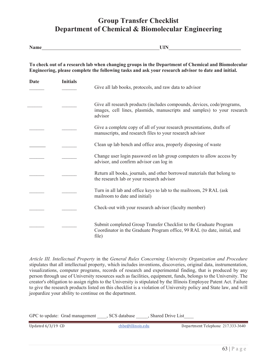# **Group Transfer Checklist Department of Chemical & Biomolecular Engineering**

| <b>Name</b> |                 | UIN                                                                                                                                                                                                       |  |  |
|-------------|-----------------|-----------------------------------------------------------------------------------------------------------------------------------------------------------------------------------------------------------|--|--|
|             |                 | To check out of a research lab when changing groups in the Department of Chemical and Biomolecular<br>Engineering, please complete the following tasks and ask your research advisor to date and initial. |  |  |
| <b>Date</b> | <b>Initials</b> | Give all lab books, protocols, and raw data to advisor                                                                                                                                                    |  |  |
|             |                 | Give all research products (includes compounds, devices, code/programs,<br>images, cell lines, plasmids, manuscripts and samples) to your research<br>advisor                                             |  |  |
|             |                 | Give a complete copy of all of your research presentations, drafts of<br>manuscripts, and research files to your research advisor                                                                         |  |  |
|             |                 | Clean up lab bench and office area, properly disposing of waste                                                                                                                                           |  |  |
|             |                 | Change user login password on lab group computers to allow access by<br>advisor, and confirm advisor can log in                                                                                           |  |  |
|             |                 | Return all books, journals, and other borrowed materials that belong to<br>the research lab or your research advisor                                                                                      |  |  |
|             |                 | Turn in all lab and office keys to lab to the mailroom, 29 RAL (ask<br>mailroom to date and initial)                                                                                                      |  |  |
|             |                 | Check-out with your research advisor (faculty member)                                                                                                                                                     |  |  |
|             |                 | Submit completed Group Transfer Checklist to the Graduate Program<br>Coordinator in the Graduate Program office, 99 RAL (to date, initial, and<br>file)                                                   |  |  |

*Article III. Intellectual Property* in the *General Rules Concerning University Organization and Procedure* stipulates that all intellectual property, which includes inventions, discoveries, original data, instrumentation, visualizations, computer programs, records of research and experimental finding, that is produced by any person through use of University resources such as facilities, equipment, funds, belongs to the University. The creator's obligation to assign rights to the University is stipulated by the Illinois Employee Patent Act. Failure to give the research products listed on this checklist is a violation of University policy and State law, and will jeopardize your ability to continue on the department.

| GPC to update: Grad management | . SCS database | Shared Drive List |
|--------------------------------|----------------|-------------------|
|                                |                |                   |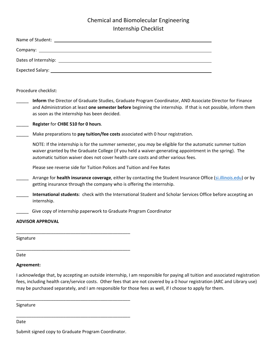# Chemical and Biomolecular Engineering Internship Checklist

| Procedure checklist:                                                                                                                                                                                                                                                                                                                                                 |
|----------------------------------------------------------------------------------------------------------------------------------------------------------------------------------------------------------------------------------------------------------------------------------------------------------------------------------------------------------------------|
| Inform the Director of Graduate Studies, Graduate Program Coordinator, AND Associate Director for Finance<br>and Administration at least one semester before beginning the internship. If that is not possible, inform them<br>as soon as the internship has been decided.                                                                                           |
| Register for CHBE 510 for 0 hours.                                                                                                                                                                                                                                                                                                                                   |
| Make preparations to pay tuition/fee costs associated with 0 hour registration.                                                                                                                                                                                                                                                                                      |
| NOTE: If the internship is for the summer semester, you may be eligible for the automatic summer tuition<br>waiver granted by the Graduate College (if you held a waiver-generating appointment in the spring). The<br>automatic tuition waiver does not cover health care costs and other various fees.                                                             |
| Please see reverse side for Tuition Polices and Tuition and Fee Rates                                                                                                                                                                                                                                                                                                |
| Arrange for health insurance coverage, either by contacting the Student Insurance Office (si.illinois.edu) or by<br>getting insurance through the company who is offering the internship.                                                                                                                                                                            |
| International students: check with the International Student and Scholar Services Office before accepting an<br>internship.                                                                                                                                                                                                                                          |
| Give copy of internship paperwork to Graduate Program Coordinator                                                                                                                                                                                                                                                                                                    |
| <b>ADVISOR APPROVAL</b>                                                                                                                                                                                                                                                                                                                                              |
| Signature                                                                                                                                                                                                                                                                                                                                                            |
| Date                                                                                                                                                                                                                                                                                                                                                                 |
| Agreement:                                                                                                                                                                                                                                                                                                                                                           |
| I acknowledge that, by accepting an outside internship, I am responsible for paying all tuition and associated registration<br>fees, including health care/service costs. Other fees that are not covered by a 0 hour registration (ARC and Library use)<br>may be purchased separately, and I am responsible for those fees as well, if I choose to apply for them. |

Signature

Date

Submit signed copy to Graduate Program Coordinator.

\_\_\_\_\_\_\_\_\_\_\_\_\_\_\_\_\_\_\_\_\_\_\_\_\_\_\_\_\_\_\_\_\_\_\_\_\_\_\_\_\_\_\_\_\_\_

\_\_\_\_\_\_\_\_\_\_\_\_\_\_\_\_\_\_\_\_\_\_\_\_\_\_\_\_\_\_\_\_\_\_\_\_\_\_\_\_\_\_\_\_\_\_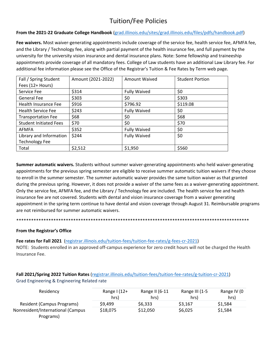# Tuition/Fee Policies

### **From the 2021‐22 Graduate College Handbook** (grad.illinois.edu/sites/grad.illinois.edu/files/pdfs/handbook.pdf)

**Fee waivers.** Most waiver‐generating appointments include coverage of the service fee, health service fee, AFMFA fee, and the Library / Technology fee, along with partial payment of the health insurance fee, and full payment by the university for the university vision insurance and dental insurance plans. Note: Some fellowship and traineeship appointments provide coverage of all mandatory fees. College of Law students have an additional Law Library fee. For additional fee information please see the Office of the Registrar's Tuition & Fee Rates by Term web page.

| Fall / Spring Student         | Amount (2021-2022) | <b>Amount Waived</b> | <b>Student Portion</b> |
|-------------------------------|--------------------|----------------------|------------------------|
| Fees (12+ Hours)              |                    |                      |                        |
| Service Fee                   | \$314              | <b>Fully Waived</b>  | \$0                    |
| General Fee                   | \$303              | \$0                  | \$303                  |
| <b>Health Insurance Fee</b>   | \$916              | \$796.92             | \$119.08               |
| <b>Health Service Fee</b>     | \$243              | <b>Fully Waived</b>  | \$0                    |
| <b>Transportation Fee</b>     | \$68               | \$0                  | \$68                   |
| <b>Student Initiated Fees</b> | \$70               | \$0                  | \$70                   |
| <b>AFMFA</b>                  | \$352              | <b>Fully Waived</b>  | \$0                    |
| Library and Information       | \$244              | <b>Fully Waived</b>  | \$0                    |
| <b>Technology Fee</b>         |                    |                      |                        |
| Total                         | \$2,512            | \$1,950              | \$560                  |

**Summer automatic waivers.** Students without summer waiver‐generating appointments who held waiver‐generating appointments for the previous spring semester are eligible to receive summer automatic tuition waivers if they choose to enroll in the summer semester. The summer automatic waiver provides the same tuition waiver as that granted during the previous spring. However, it does not provide a waiver of the same fees as a waiver-generating appointment. Only the service fee, AFMFA fee, and the Library / Technology fee are included. The health service fee and health insurance fee are not covered. Students with dental and vision insurance coverage from a waiver generating appointment in the spring term continue to have dental and vision coverage through August 31. Reimbursable programs are not reimbursed for summer automatic waivers.

#### \*\*\*\*\*\*\*\*\*\*\*\*\*\*\*\*\*\*\*\*\*\*\*\*\*\*\*\*\*\*\*\*\*\*\*\*\*\*\*\*\*\*\*\*\*\*\*\*\*\*\*\*\*\*\*\*\*\*\*\*\*\*\*\*\*\*\*\*\*\*\*\*\*\*\*\*\*\*\*\*\*\*\*\*\*\*\*\*\*\*\*\*\*\*

### **From the Registrar's Office**

### **Fee rates for Fall 2021** (registrar.illinois.edu/tuition‐fees/tuition‐fee‐rates/g‐fees‐cr‐2021)

NOTE: Students enrolled in an approved off‐campus experience for zero credit hours will not be charged the Health Insurance Fee.

| Fall 2021/Spring 2022 Tuition Rates (registrar.illinois.edu/tuition-fees/tuition-fee-rates/g-tuition-cr-2021) |
|---------------------------------------------------------------------------------------------------------------|
| Grad Engineering & Engineering Related rate                                                                   |

| Residency                         | Range $1(12+)$<br>hrs) | Range II (6-11<br>hrs) | Range III (1-5<br>hrs) | Range IV (0<br>hrs) |
|-----------------------------------|------------------------|------------------------|------------------------|---------------------|
| <b>Resident (Campus Programs)</b> | \$9.499                | \$6.333                | \$3,167                | \$1,584             |
| Nonresident/International (Campus | \$18,075               | \$12,050               | \$6,025                | \$1,584             |
| Programs)                         |                        |                        |                        |                     |